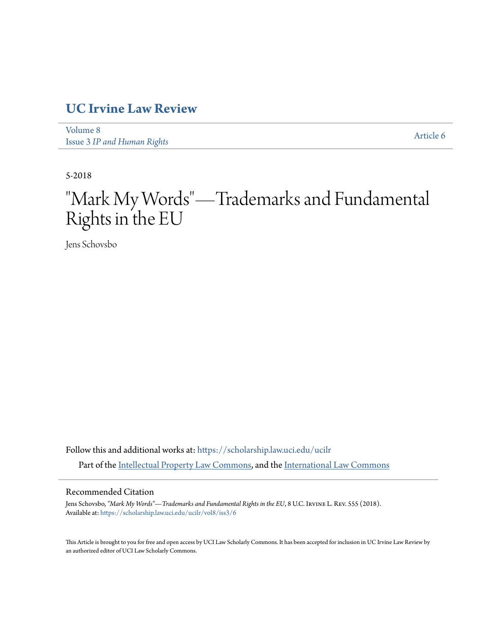# **[UC Irvine Law Review](https://scholarship.law.uci.edu/ucilr?utm_source=scholarship.law.uci.edu%2Fucilr%2Fvol8%2Fiss3%2F6&utm_medium=PDF&utm_campaign=PDFCoverPages)**

[Volume 8](https://scholarship.law.uci.edu/ucilr/vol8?utm_source=scholarship.law.uci.edu%2Fucilr%2Fvol8%2Fiss3%2F6&utm_medium=PDF&utm_campaign=PDFCoverPages) Issue 3 *[IP and Human Rights](https://scholarship.law.uci.edu/ucilr/vol8/iss3?utm_source=scholarship.law.uci.edu%2Fucilr%2Fvol8%2Fiss3%2F6&utm_medium=PDF&utm_campaign=PDFCoverPages)*

[Article 6](https://scholarship.law.uci.edu/ucilr/vol8/iss3/6?utm_source=scholarship.law.uci.edu%2Fucilr%2Fvol8%2Fiss3%2F6&utm_medium=PDF&utm_campaign=PDFCoverPages)

5-2018

# "Mark My Words"—Trademarks and Fundamental Rights in the EU

Jens Schovsbo

Follow this and additional works at: [https://scholarship.law.uci.edu/ucilr](https://scholarship.law.uci.edu/ucilr?utm_source=scholarship.law.uci.edu%2Fucilr%2Fvol8%2Fiss3%2F6&utm_medium=PDF&utm_campaign=PDFCoverPages) Part of the [Intellectual Property Law Commons,](http://network.bepress.com/hgg/discipline/896?utm_source=scholarship.law.uci.edu%2Fucilr%2Fvol8%2Fiss3%2F6&utm_medium=PDF&utm_campaign=PDFCoverPages) and the [International Law Commons](http://network.bepress.com/hgg/discipline/609?utm_source=scholarship.law.uci.edu%2Fucilr%2Fvol8%2Fiss3%2F6&utm_medium=PDF&utm_campaign=PDFCoverPages)

## Recommended Citation

Jens Schovsbo, *"Mark My Words"—Trademarks and Fundamental Rights in the EU*, 8 U.C. Irvine L. Rev. 555 (2018). Available at: [https://scholarship.law.uci.edu/ucilr/vol8/iss3/6](https://scholarship.law.uci.edu/ucilr/vol8/iss3/6?utm_source=scholarship.law.uci.edu%2Fucilr%2Fvol8%2Fiss3%2F6&utm_medium=PDF&utm_campaign=PDFCoverPages)

This Article is brought to you for free and open access by UCI Law Scholarly Commons. It has been accepted for inclusion in UC Irvine Law Review by an authorized editor of UCI Law Scholarly Commons.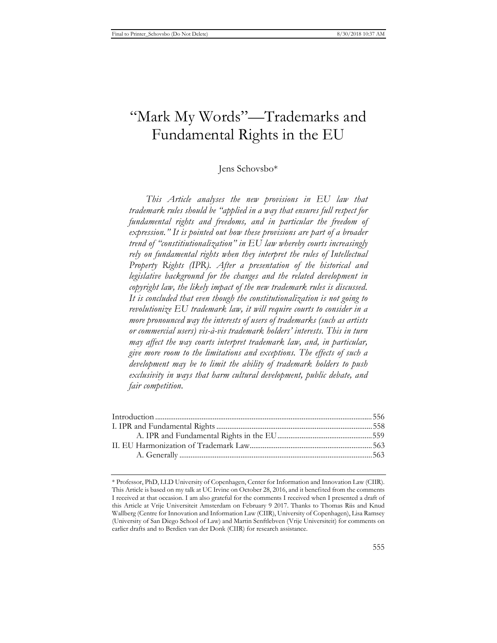# "Mark My Words"—Trademarks and Fundamental Rights in the EU

## Jens Schovsbo\*

*This Article analyses the new provisions in EU law that trademark rules should be "applied in a way that ensures full respect for fundamental rights and freedoms, and in particular the freedom of expression." It is pointed out how these provisions are part of a broader trend of "constitiutionalization" in EU law whereby courts increasingly rely on fundamental rights when they interpret the rules of Intellectual Property Rights (IPR). After a presentation of the historical and legislative background for the changes and the related development in copyright law, the likely impact of the new trademark rules is discussed. It is concluded that even though the constitutionalization is not going to revolutionize EU trademark law, it will require courts to consider in a more pronounced way the interests of users of trademarks (such as artists or commercial users) vis-à-vis trademark holders' interests. This in turn may affect the way courts interpret trademark law, and, in particular, give more room to the limitations and exceptions. The effects of such a development may be to limit the ability of trademark holders to push exclusivity in ways that harm cultural development, public debate, and fair competition.* 

<sup>\*</sup> Professor, PhD, LLD University of Copenhagen, Center for Information and Innovation Law (CIIR). This Article is based on my talk at UC Irvine on October 28, 2016, and it benefited from the comments I received at that occasion. I am also grateful for the comments I received when I presented a draft of this Article at Vrije Universiteit Amsterdam on February 9 2017. Thanks to Thomas Riis and Knud Wallberg (Centre for Innovation and Information Law (CIIR), University of Copenhagen), Lisa Ramsey (University of San Diego School of Law) and Martin Senftlebven (Vrije Universiteit) for comments on earlier drafts and to Berdien van der Donk (CIIR) for research assistance.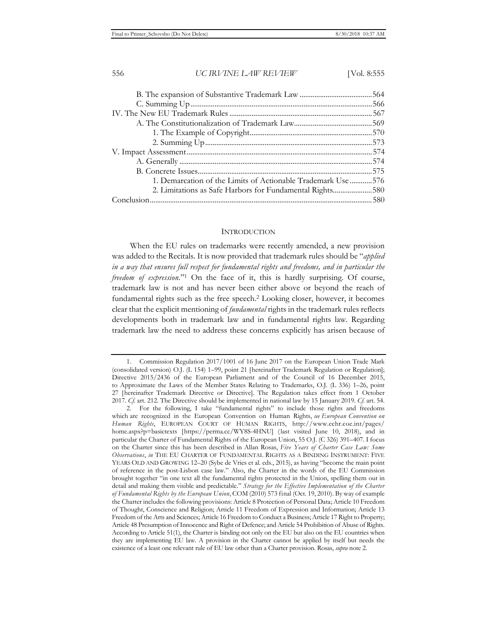| 1. Demarcation of the Limits of Actionable Trademark Use 576 |  |
|--------------------------------------------------------------|--|
| 2. Limitations as Safe Harbors for Fundamental Rights580     |  |
|                                                              |  |

#### **INTRODUCTION**

When the EU rules on trademarks were recently amended, a new provision was added to the Recitals. It is now provided that trademark rules should be "*applied in a way that ensures full respect for fundamental rights and freedoms, and in particular the freedom of expression.*"1 On the face of it, this is hardly surprising. Of course, trademark law is not and has never been either above or beyond the reach of fundamental rights such as the free speech.2 Looking closer, however, it becomes clear that the explicit mentioning of *fundamental* rights in the trademark rules reflects developments both in trademark law and in fundamental rights law. Regarding trademark law the need to address these concerns explicitly has arisen because of

<sup>1.</sup> Commission Regulation 2017/1001 of 16 June 2017 on the European Union Trade Mark (consolidated version) O.J. (L 154) 1–99, point 21 [hereinafter Trademark Regulation or Regulation]; Directive 2015/2436 of the European Parliament and of the Council of 16 December 2015, to Approximate the Laws of the Member States Relating to Trademarks, O.J. (L 336) 1–26, point 27 [hereinafter Trademark Directive or Directive]. The Regulation takes effect from 1 October 2017. *Cf.* art. 212. The Directive should be implemented in national law by 15 January 2019. *Cf.* art. 54.

<sup>2.</sup> For the following, I take "fundamental rights" to include those rights and freedoms which are recognized in the European Convention on Human Rights, *see European Convention on Human Rights*, EUROPEAN COURT OF HUMAN RIGHTS, http://www.echr.coe.int/pages/ home.aspx?p=basictexts [https://perma.cc/WY8S-4HNU] (last visited June 10, 2018), and in particular the Charter of Fundamental Rights of the European Union, 55 O.J. (C 326) 391–407. I focus on the Charter since this has been described in Allan Rosas, *Five Years of Charter Case Law: Some Observations*, *in* THE EU CHARTER OF FUNDAMENTAL RIGHTS AS A BINDING INSTRUMENT: FIVE YEARS OLD AND GROWING 12–20 (Sybe de Vries et al. eds., 2015), as having "become the main point of reference in the post-Lisbon case law." Also, the Charter in the words of the EU Commission brought together "in one text all the fundamental rights protected in the Union, spelling them out in detail and making them visible and predictable." *Strategy for the Effective Implementation of the Charter of Fundamental Rights by the European Union*, COM (2010) 573 final (Oct. 19, 2010). By way of example the Charter includes the following provisions: Article 8 Protection of Personal Data; Article 10 Freedom of Thought, Conscience and Religion; Article 11 Freedom of Expression and Information; Article 13 Freedom of the Arts and Sciences; Article 16 Freedom to Conduct a Business; Article 17 Right to Property; Article 48 Presumption of Innocence and Right of Defence; and Article 54 Prohibition of Abuse of Rights. According to Article 51(1), the Charter is binding not only on the EU but also on the EU countries when they are implementing EU law. A provision in the Charter cannot be applied by itself but needs the existence of a least one relevant rule of EU law other than a Charter provision. Rosas, *supra* note 2.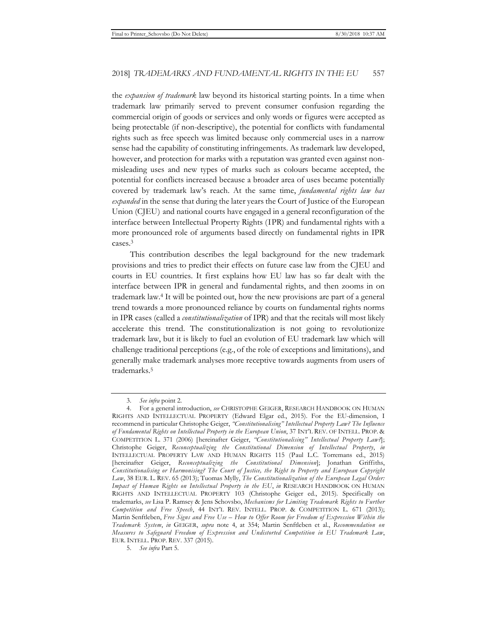the *expansion of trademark* law beyond its historical starting points. In a time when trademark law primarily served to prevent consumer confusion regarding the commercial origin of goods or services and only words or figures were accepted as being protectable (if non-descriptive), the potential for conflicts with fundamental rights such as free speech was limited because only commercial uses in a narrow sense had the capability of constituting infringements. As trademark law developed, however, and protection for marks with a reputation was granted even against nonmisleading uses and new types of marks such as colours became accepted, the potential for conflicts increased because a broader area of uses became potentially covered by trademark law's reach. At the same time, *fundamental rights law has expanded* in the sense that during the later years the Court of Justice of the European Union (CJEU) and national courts have engaged in a general reconfiguration of the interface between Intellectual Property Rights (IPR) and fundamental rights with a more pronounced role of arguments based directly on fundamental rights in IPR cases.3

This contribution describes the legal background for the new trademark provisions and tries to predict their effects on future case law from the CJEU and courts in EU countries. It first explains how EU law has so far dealt with the interface between IPR in general and fundamental rights, and then zooms in on trademark law.4 It will be pointed out, how the new provisions are part of a general trend towards a more pronounced reliance by courts on fundamental rights norms in IPR cases (called a *constitutionalization* of IPR) and that the recitals will most likely accelerate this trend. The constitutionalization is not going to revolutionize trademark law, but it is likely to fuel an evolution of EU trademark law which will challenge traditional perceptions (e.g., of the role of exceptions and limitations), and generally make trademark analyses more receptive towards augments from users of trademarks.5

<sup>3.</sup> *See infra* point 2.

<sup>4.</sup> For a general introduction, *see* CHRISTOPHE GEIGER, RESEARCH HANDBOOK ON HUMAN RIGHTS AND INTELLECTUAL PROPERTY (Edward Elgar ed., 2015). For the EU-dimension, I recommend in particular Christophe Geiger, *"Constitutionalising" Intellectual Property Law? The Influence of Fundamental Rights on Intellectual Property in the European Union*, 37 INT'L REV. OF INTELL. PROP. & COMPETITION L. 371 (2006) [hereinafter Geiger, *"Constitutionalising" Intellectual Property Law?*]; Christophe Geiger, *Reconceptualizing the Constitutional Dimension of Intellectual Property*, *in* INTELLECTUAL PROPERTY LAW AND HUMAN RIGHTS 115 (Paul L.C. Torremans ed., 2015) [hereinafter Geiger, *Reconceptualizing the Constitutional Dimension*]; Jonathan Griffiths, *Constitutionalising or Harmonising? The Court of Justice, the Right to Property and European Copyright Law*, 38 EUR. L. REV. 65 (2013); Tuomas Mylly, *The Constitutionalization of the European Legal Order: Impact of Human Rights on Intellectual Property in the EU*, *in* RESEARCH HANDBOOK ON HUMAN RIGHTS AND INTELLECTUAL PROPERTY 103 (Christophe Geiger ed., 2015). Specifically on trademarks, *see* Lisa P. Ramsey & Jens Schovsbo, *Mechanisms for Limiting Trademark Rights to Further Competition and Free Speech*, 44 INT'L REV. INTELL. PROP. & COMPETITION L. 671 (2013); Martin Senftleben, *Free Signs and Free Use – How to Offer Room for Freedom of Expression Within the Trademark System*, *in* GEIGER, *supra* note 4, at 354; Martin Senftleben et al., *Recommendation on Measures to Safeguard Freedom of Expression and Undistorted Competition in EU Trademark Law*, EUR. INTELL. PROP. REV. 337 (2015).

<sup>5.</sup> *See infra* Part 5.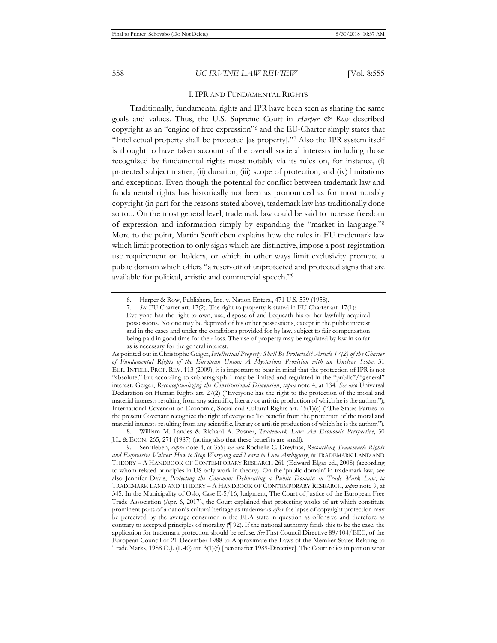#### I. IPR AND FUNDAMENTAL RIGHTS

Traditionally, fundamental rights and IPR have been seen as sharing the same goals and values. Thus, the U.S. Supreme Court in *Harper & Row* described copyright as an "engine of free expression"6 and the EU-Charter simply states that "Intellectual property shall be protected [as property]."7 Also the IPR system itself is thought to have taken account of the overall societal interests including those recognized by fundamental rights most notably via its rules on, for instance, (i) protected subject matter, (ii) duration, (iii) scope of protection, and (iv) limitations and exceptions. Even though the potential for conflict between trademark law and fundamental rights has historically not been as pronounced as for most notably copyright (in part for the reasons stated above), trademark law has traditionally done so too. On the most general level, trademark law could be said to increase freedom of expression and information simply by expanding the "market in language."8 More to the point, Martin Senftleben explains how the rules in EU trademark law which limit protection to only signs which are distinctive, impose a post-registration use requirement on holders, or which in other ways limit exclusivity promote a public domain which offers "a reservoir of unprotected and protected signs that are available for political, artistic and commercial speech."9

As pointed out in Christophe Geiger, *Intellectual Property Shall Be Protected!? Article 17(2) of the Charter of Fundamental Rights of the European Union: A Mysterious Provision with an Unclear Scope*, 31 EUR. INTELL. PROP. REV. 113 (2009), it is important to bear in mind that the protection of IPR is not "absolute," but according to subparagraph 1 may be limited and regulated in the "public"/"general" interest. Geiger, *Reconceptualizing the Constitutional Dimension*, *supra* note 4, at 134. *See also* Universal Declaration on Human Rights art. 27(2) ("Everyone has the right to the protection of the moral and material interests resulting from any scientific, literary or artistic production of which he is the author."); International Covenant on Economic, Social and Cultural Rights art. 15(1)(c) ("The States Parties to the present Covenant recognize the right of everyone: To benefit from the protection of the moral and material interests resulting from any scientific, literary or artistic production of which he is the author.").

8. William M. Landes & Richard A. Posner, *Trademark Law: An Economic Perspective*, 30 J.L. & ECON. 265, 271 (1987) (noting also that these benefits are small).

9. Senftleben, *supra* note 4, at 355; *see also* Rochelle C. Dreyfuss, *Reconciling Trademark Rights and Expressive Values: How to Stop Worrying and Learn to Love Ambiguity*, *in* TRADEMARK LAND AND THEORY – A HANDBOOK OF CONTEMPORARY RESEARCH 261 (Edward Elgar ed., 2008) (according to whom related principles in US only work in theory). On the 'public domain' in trademark law, see also Jennifer Davis, *Protecting the Common: Delineating a Public Domain in Trade Mark Law*, *in* TRADEMARK LAND AND THEORY – A HANDBOOK OF CONTEMPORARY RESEARCH, *supra* note 9, at 345. In the Municipality of Oslo, Case E-5/16, Judgment, The Court of Justice of the European Free Trade Association (Apr. 6, 2017), the Court explained that protecting works of art which constitute prominent parts of a nation's cultural heritage as trademarks *after* the lapse of copyright protection may be perceived by the average consumer in the EEA state in question as offensive and therefore as contrary to accepted principles of morality (¶ 92). If the national authority finds this to be the case, the application for trademark protection should be refuse. *See* First Council Directive 89/104/EEC, of the European Council of 21 December 1988 to Approximate the Laws of the Member States Relating to Trade Marks, 1988 O.J. (L 40) art. 3(1)(f) [hereinafter 1989-Directive]. The Court relies in part on what

<sup>6.</sup> Harper & Row, Publishers, Inc. v. Nation Enters., 471 U.S. 539 (1958).

<sup>7.</sup> *See* EU Charter art. 17(2). The right to property is stated in EU Charter art. 17(1): Everyone has the right to own, use, dispose of and bequeath his or her lawfully acquired possessions. No one may be deprived of his or her possessions, except in the public interest and in the cases and under the conditions provided for by law, subject to fair compensation being paid in good time for their loss. The use of property may be regulated by law in so far as is necessary for the general interest.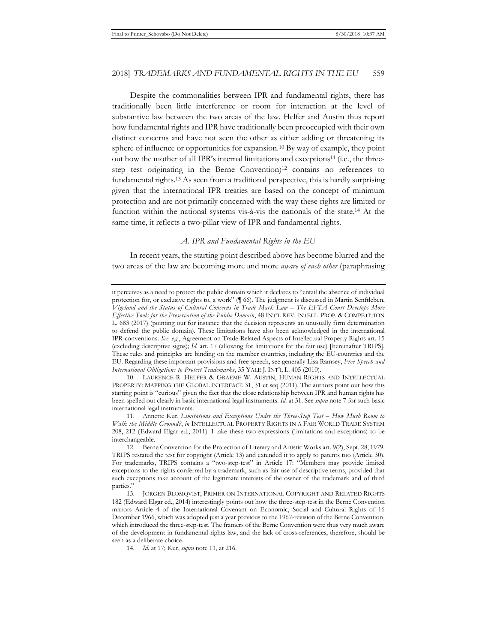Despite the commonalities between IPR and fundamental rights, there has traditionally been little interference or room for interaction at the level of substantive law between the two areas of the law. Helfer and Austin thus report how fundamental rights and IPR have traditionally been preoccupied with their own distinct concerns and have not seen the other as either adding or threatening its sphere of influence or opportunities for expansion.10 By way of example, they point out how the mother of all IPR's internal limitations and exceptions11 (i.e., the threestep test originating in the Berne Convention)12 contains no references to fundamental rights.13 As seen from a traditional perspective, this is hardly surprising given that the international IPR treaties are based on the concept of minimum protection and are not primarily concerned with the way these rights are limited or function within the national systems vis-à-vis the nationals of the state.14 At the same time, it reflects a two-pillar view of IPR and fundamental rights.

#### *A. IPR and Fundamental Rights in the EU*

In recent years, the starting point described above has become blurred and the two areas of the law are becoming more and more *aware of each other* (paraphrasing

it perceives as a need to protect the public domain which it declares to "entail the absence of individual protection for, or exclusive rights to, a work" (¶ 66). The judgment is discussed in Martin Senftleben, *Vigeland and the Status of Cultural Concerns in Trade Mark Law – The EFTA Court Develops More Effective Tools for the Preservation of the Public Domain*, 48 INT'L REV. INTELL. PROP. & COMPETITION L. 683 (2017) (pointing out for instance that the decision represents an unusually firm determination to defend the public domain). These limitations have also been acknowledged in the international IPR-conventions. *See, e.g.*, Agreement on Trade-Related Aspects of Intellectual Property Rights art. 15 (excluding descriptive signs); *Id.* art. 17 (allowing for limitations for the fair use) [hereinafter TRIPS]. These rules and principles are binding on the member countries, including the EU-countries and the EU. Regarding these important provisions and free speech, see generally Lisa Ramsey, *Free Speech and International Obligations to Protect Trademarks*, 35 YALE J. INT'L L. 405 (2010).

<sup>10.</sup> LAURENCE R. HELFER & GRAEME W. AUSTIN, HUMAN RIGHTS AND INTELLECTUAL PROPERTY: MAPPING THE GLOBAL INTERFACE 31, 31 et seq (2011). The authors point out how this starting point is "curious" given the fact that the close relationship between IPR and human rights has been spelled out clearly in basic international legal instruments. *Id.* at 31. See *supra* note 7 for such basic international legal instruments.

<sup>11.</sup> Annette Kur, *Limitations and Exceptions Under the Three-Step Test – How Much Room to Walk the Middle Ground?*, *in* INTELLECTUAL PROPERTY RIGHTS IN A FAIR WORLD TRADE SYSTEM 208, 212 (Edward Elgar ed., 2011). I take these two expressions (limitations and exceptions) to be interchangeable.

<sup>12.</sup> Berne Convention for the Protection of Literary and Artistic Works art. 9(2), Sept. 28, 1979. TRIPS restated the test for copyright (Article 13) and extended it to apply to patents too (Article 30). For trademarks, TRIPS contains a "two-step-test" in Article 17: "Members may provide limited exceptions to the rights conferred by a trademark, such as fair use of descriptive terms, provided that such exceptions take account of the legitimate interests of the owner of the trademark and of third parties."

<sup>13.</sup> JORGEN BLOMQVIST, PRIMER ON INTERNATIONAL COPYRIGHT AND RELATED RIGHTS 182 (Edward Elgar ed., 2014) interestingly points out how the three-step-test in the Berne Convention mirrors Article 4 of the International Covenant on Economic, Social and Cultural Rights of 16 December 1966, which was adopted just a year previous to the 1967-revision of the Berne Convention, which introduced the three-step-test. The framers of the Berne Convention were thus very much aware of the development in fundamental rights law, and the lack of cross-references, therefore, should be seen as a deliberate choice.

<sup>14.</sup> *Id.* at 17; Kur, *supra* note 11, at 216.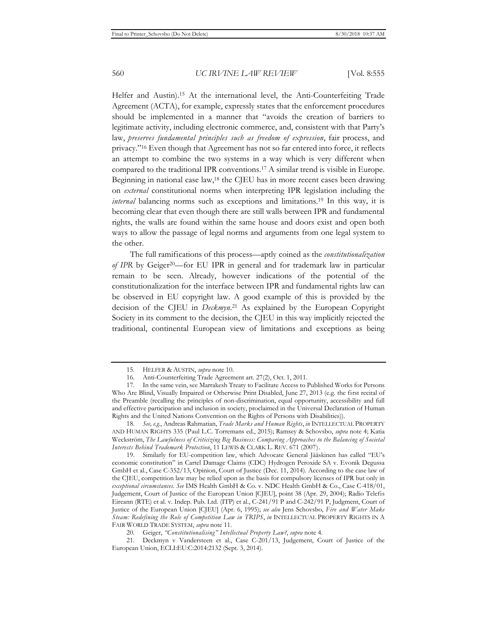Helfer and Austin).15 At the international level, the Anti-Counterfeiting Trade Agreement (ACTA), for example, expressly states that the enforcement procedures should be implemented in a manner that "avoids the creation of barriers to legitimate activity, including electronic commerce, and, consistent with that Party's law, *preserves fundamental principles such as freedom of expression*, fair process, and privacy."16 Even though that Agreement has not so far entered into force, it reflects an attempt to combine the two systems in a way which is very different when compared to the traditional IPR conventions.17 A similar trend is visible in Europe. Beginning in national case law,18 the CJEU has in more recent cases been drawing on *external* constitutional norms when interpreting IPR legislation including the *internal* balancing norms such as exceptions and limitations.19 In this way, it is becoming clear that even though there are still walls between IPR and fundamental rights, the walls are found within the same house and doors exist and open both ways to allow the passage of legal norms and arguments from one legal system to the other.

The full ramifications of this process—aptly coined as the *constitutionalization of IPR* by Geiger20—for EU IPR in general and for trademark law in particular remain to be seen. Already, however indications of the potential of the constitutionalization for the interface between IPR and fundamental rights law can be observed in EU copyright law. A good example of this is provided by the decision of the CJEU in *Deckmyn*. 21 As explained by the European Copyright Society in its comment to the decision, the CJEU in this way implicitly rejected the traditional, continental European view of limitations and exceptions as being

<sup>15.</sup> HELFER & AUSTIN, *supra* note 10.

<sup>16.</sup> Anti-Counterfeiting Trade Agreement art. 27(2), Oct. 1, 2011.

<sup>17.</sup> In the same vein, see Marrakesh Treaty to Facilitate Access to Published Works for Persons Who Are Blind, Visually Impaired or Otherwise Print Disabled, June 27, 2013 (e.g. the first recital of the Preamble (recalling the principles of non-discrimination, equal opportunity, accessibility and full and effective participation and inclusion in society, proclaimed in the Universal Declaration of Human Rights and the United Nations Convention on the Rights of Persons with Disabilities)).

<sup>18.</sup> *See, e.g.*, Andreas Rahmatian, *Trade Marks and Human Rights*, *in* INTELLECTUAL PROPERTY AND HUMAN RIGHTS 335 (Paul L.C. Torremans ed., 2015); Ramsey & Schovsbo, *supra* note 4; Katia Weckström, *The Lawfulness of Criticizing Big Business: Comparing Approaches to the Balancing of Societal Interests Behind Trademark Protection*, 11 LEWIS & CLARK L. REV. 671 (2007).

<sup>19.</sup> Similarly for EU-competition law, which Advocate General Jääskinen has called "EU's economic constitution" in Cartel Damage Claims (CDC) Hydrogen Peroxide SA v. Evonik Degussa GmbH et al., Case C-352/13, Opinion, Court of Justice (Dec. 11, 2014). According to the case law of the CJEU, competition law may be relied upon as the basis for compulsory licenses of IPR but only in *exceptional circumstances*. *See* IMS Health GmbH & Co. v. NDC Health GmbH & Co., Case C-418/01, Judgement, Court of Justice of the European Union [CJEU], point 38 (Apr. 29, 2004); Radio Telefis Eireann (RTE) et al. v. Indep. Pub. Ltd. (ITP) et al., C-241/91 P and C-242/91 P, Judgment, Court of Justice of the European Union [CJEU] (Apr. 6, 1995); *see also* Jens Schovsbo, *Fire and Water Make Steam: Redefining the Role of Competition Law in TRIPS*, *in* INTELLECTUAL PROPERTY RIGHTS IN A FAIR WORLD TRADE SYSTEM, *supra* note 11.

<sup>20.</sup> Geiger, *"Constitutionalising" Intellectual Property Law?*, *supra* note 4.

<sup>21.</sup> Deckmyn v Vandersteen et al., Case C-201/13, Judgement, Court of Justice of the European Union, ECLI:EU:C:2014:2132 (Sept. 3, 2014).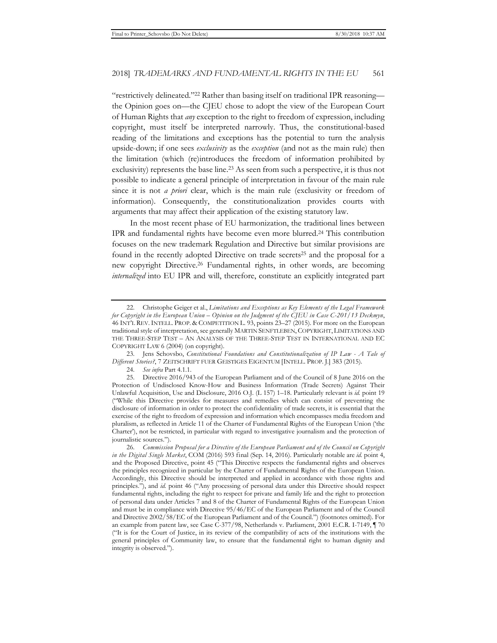"restrictively delineated."22 Rather than basing itself on traditional IPR reasoning the Opinion goes on—the CJEU chose to adopt the view of the European Court of Human Rights that *any* exception to the right to freedom of expression, including copyright, must itself be interpreted narrowly. Thus, the constitutional-based reading of the limitations and exceptions has the potential to turn the analysis upside-down; if one sees *exclusivity* as the *exception* (and not as the main rule) then the limitation (which (re)introduces the freedom of information prohibited by exclusivity) represents the base line.23 As seen from such a perspective, it is thus not possible to indicate a general principle of interpretation in favour of the main rule since it is not *a priori* clear, which is the main rule (exclusivity or freedom of information). Consequently, the constitutionalization provides courts with arguments that may affect their application of the existing statutory law.

In the most recent phase of EU harmonization, the traditional lines between IPR and fundamental rights have become even more blurred.24 This contribution focuses on the new trademark Regulation and Directive but similar provisions are found in the recently adopted Directive on trade secrets<sup>25</sup> and the proposal for a new copyright Directive.26 Fundamental rights, in other words, are becoming *internalized* into EU IPR and will, therefore, constitute an explicitly integrated part

23. Jens Schovsbo, *Constitutional Foundations and Constitutionalization of IP Law - A Tale of Different Stories?*, 7 ZEITSCHRIFT FUER GEISTIGES EIGENTUM [INTELL. PROP. J.] 383 (2015).

<sup>22.</sup> Christophe Geiger et al., *Limitations and Exceptions as Key Elements of the Legal Framework for Copyright in the European Union – Opinion on the Judgment of the CJEU in Case C-201/13 Deckmyn*, 46 INT'L REV. INTELL. PROP. & COMPETITION L. 93, points 23–27 (2015). For more on the European traditional style of interpretation, see generally MARTIN SENFTLEBEN,COPYRIGHT, LIMITATIONS AND THE THREE-STEP TEST – AN ANALYSIS OF THE THREE-STEP TEST IN INTERNATIONAL AND EC COPYRIGHT LAW 6 (2004) (on copyright).

<sup>24.</sup> *See infra* Part 4.1.1.

<sup>25.</sup> Directive 2016/943 of the European Parliament and of the Council of 8 June 2016 on the Protection of Undisclosed Know-How and Business Information (Trade Secrets) Against Their Unlawful Acquisition, Use and Disclosure, 2016 O.J. (L 157) 1–18. Particularly relevant is *id.* point 19 ("While this Directive provides for measures and remedies which can consist of preventing the disclosure of information in order to protect the confidentiality of trade secrets, it is essential that the exercise of the right to freedom of expression and information which encompasses media freedom and pluralism, as reflected in Article 11 of the Charter of Fundamental Rights of the European Union ('the Charter'), not be restricted, in particular with regard to investigative journalism and the protection of journalistic sources.").

<sup>26.</sup> *Commission Proposal for a Directive of the European Parliament and of the Council on Copyright in the Digital Single Market*, COM (2016) 593 final (Sep. 14, 2016). Particularly notable are *id.* point 4, and the Proposed Directive, point 45 ("This Directive respects the fundamental rights and observes the principles recognized in particular by the Charter of Fundamental Rights of the European Union. Accordingly, this Directive should be interpreted and applied in accordance with those rights and principles."), and *id.* point 46 ("Any processing of personal data under this Directive should respect fundamental rights, including the right to respect for private and family life and the right to protection of personal data under Articles 7 and 8 of the Charter of Fundamental Rights of the European Union and must be in compliance with Directive 95/46/EC of the European Parliament and of the Council and Directive 2002/58/EC of the European Parliament and of the Council.") (footnotes omitted). For an example from patent law, see Case C-377/98, Netherlands v. Parliament, 2001 E.C.R. I-7149, ¶ 70 ("It is for the Court of Justice, in its review of the compatibility of acts of the institutions with the general principles of Community law, to ensure that the fundamental right to human dignity and integrity is observed.").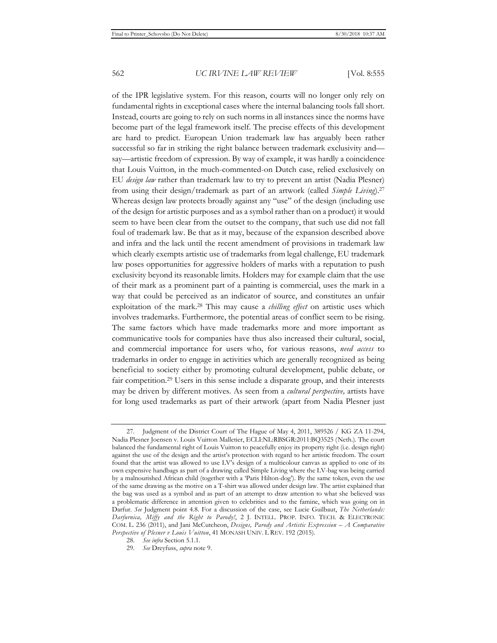of the IPR legislative system. For this reason, courts will no longer only rely on fundamental rights in exceptional cases where the internal balancing tools fall short. Instead, courts are going to rely on such norms in all instances since the norms have become part of the legal framework itself. The precise effects of this development are hard to predict. European Union trademark law has arguably been rather successful so far in striking the right balance between trademark exclusivity and say—artistic freedom of expression. By way of example, it was hardly a coincidence that Louis Vuitton, in the much-commented-on Dutch case, relied exclusively on EU *design law* rather than trademark law to try to prevent an artist (Nadia Plesner) from using their design/trademark as part of an artwork (called *Simple Living*).27 Whereas design law protects broadly against any "use" of the design (including use of the design for artistic purposes and as a symbol rather than on a product) it would seem to have been clear from the outset to the company, that such use did not fall foul of trademark law. Be that as it may, because of the expansion described above and infra and the lack until the recent amendment of provisions in trademark law which clearly exempts artistic use of trademarks from legal challenge, EU trademark law poses opportunities for aggressive holders of marks with a reputation to push exclusivity beyond its reasonable limits. Holders may for example claim that the use of their mark as a prominent part of a painting is commercial, uses the mark in a way that could be perceived as an indicator of source, and constitutes an unfair exploitation of the mark.28 This may cause a *chilling effect* on artistic uses which involves trademarks. Furthermore, the potential areas of conflict seem to be rising. The same factors which have made trademarks more and more important as communicative tools for companies have thus also increased their cultural, social, and commercial importance for users who, for various reasons, *need access* to trademarks in order to engage in activities which are generally recognized as being beneficial to society either by promoting cultural development, public debate, or fair competition.29 Users in this sense include a disparate group, and their interests may be driven by different motives. As seen from a *cultural perspective,* artists have for long used trademarks as part of their artwork (apart from Nadia Plesner just

<sup>27.</sup> Judgment of the District Court of The Hague of May 4, 2011, 389526 / KG ZA 11-294, Nadia Plesner Joensen v. Louis Vuitton Malletier, ECLI:NL:RBSGR:2011:BQ3525 (Neth.). The court balanced the fundamental right of Louis Vuitton to peacefully enjoy its property right (i.e. design right) against the use of the design and the artist's protection with regard to her artistic freedom. The court found that the artist was allowed to use LV's design of a multicolour canvas as applied to one of its own expensive handbags as part of a drawing called Simple Living where the LV-bag was being carried by a malnourished African child (together with a 'Paris Hilton-dog'). By the same token, even the use of the same drawing as the motive on a T-shirt was allowed under design law. The artist explained that the bag was used as a symbol and as part of an attempt to draw attention to what she believed was a problematic difference in attention given to celebrities and to the famine, which was going on in Darfur. *See* Judgment point 4.8. For a discussion of the case, see Lucie Guilbaut, *The Netherlands: Darfurnica, Miffy and the Right to Parody!*, 2 J. INTELL. PROP. INFO. TECH. & ELECTRONIC COM. L. 236 (2011), and Jani McCutcheon, *Designs, Parody and Artistic Expression – A Comparative Perspective of Plesner v Louis Vuitton*, 41 MONASH UNIV. L REV. 192 (2015).

<sup>28.</sup> *See infra* Section 5.1.1.

<sup>29.</sup> *See* Dreyfuss, *supra* note 9.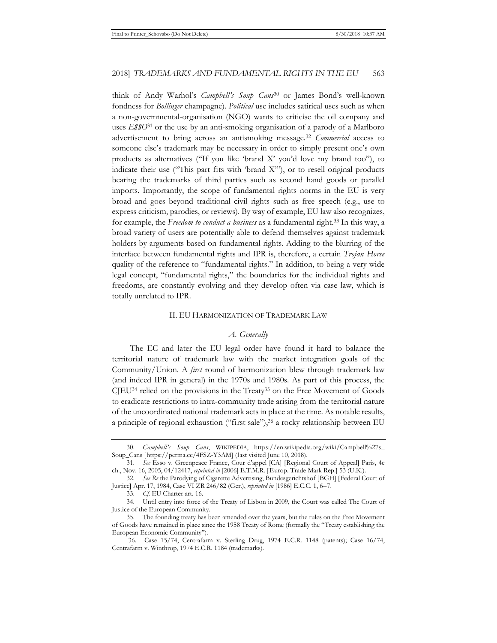think of Andy Warhol's *Campbell's Soup Cans*30 or James Bond's well-known fondness for *Bollinger* champagne). *Political* use includes satirical uses such as when a non-governmental-organisation (NGO) wants to criticise the oil company and uses *E\$\$O*31 or the use by an anti-smoking organisation of a parody of a Marlboro advertisement to bring across an antismoking message.32 *Commercial* access to someone else's trademark may be necessary in order to simply present one's own products as alternatives ("If you like 'brand X' you'd love my brand too"), to indicate their use ("This part fits with 'brand X'"), or to resell original products bearing the trademarks of third parties such as second hand goods or parallel imports. Importantly, the scope of fundamental rights norms in the EU is very broad and goes beyond traditional civil rights such as free speech (e.g., use to express criticism, parodies, or reviews). By way of example, EU law also recognizes, for example, the *Freedom to conduct a business* as a fundamental right.33 In this way, a broad variety of users are potentially able to defend themselves against trademark holders by arguments based on fundamental rights. Adding to the blurring of the interface between fundamental rights and IPR is, therefore, a certain *Trojan Horse* quality of the reference to "fundamental rights." In addition, to being a very wide legal concept, "fundamental rights," the boundaries for the individual rights and freedoms, are constantly evolving and they develop often via case law, which is totally unrelated to IPR.

#### II. EU HARMONIZATION OF TRADEMARK LAW

#### *A. Generally*

The EC and later the EU legal order have found it hard to balance the territorial nature of trademark law with the market integration goals of the Community/Union. A *first* round of harmonization blew through trademark law (and indeed IPR in general) in the 1970s and 1980s. As part of this process, the CJEU34 relied on the provisions in the Treaty35 on the Free Movement of Goods to eradicate restrictions to intra-community trade arising from the territorial nature of the uncoordinated national trademark acts in place at the time. As notable results, a principle of regional exhaustion ("first sale"),36 a rocky relationship between EU

<sup>30.</sup> *Campbell's Soup Cans*, WIKIPEDIA, https://en.wikipedia.org/wiki/Campbell%27s\_ Soup\_Cans [https://perma.cc/4FSZ-Y3AM] (last visited June 10, 2018).

<sup>31.</sup> *See* Esso v. Greenpeace France, Cour d'appel [CA] [Regional Court of Appeal] Paris, 4e ch., Nov. 16, 2005, 04/12417, *reprinted in* [2006] E.T.M.R. [Europ. Trade Mark Rep.] 53 (U.K.).

<sup>32.</sup> *See Re* the Parodying of Cigarette Advertising, Bundesgerichtshof [BGH] [Federal Court of Justice] Apr. 17, 1984, Case VI ZR 246/82 (Ger.), *reprinted in* [1986] E.C.C. 1, 6–7.

<sup>33.</sup> *Cf.* EU Charter art. 16.

<sup>34.</sup> Until entry into force of the Treaty of Lisbon in 2009, the Court was called The Court of Justice of the European Community.

<sup>35.</sup> The founding treaty has been amended over the years, but the rules on the Free Movement of Goods have remained in place since the 1958 Treaty of Rome (formally the "Treaty establishing the European Economic Community").

 <sup>36.</sup> Case 15/74, Centrafarm v. Sterling Drug, 1974 E.C.R. 1148 (patents); Case 16/74, Centrafarm v. Winthrop, 1974 E.C.R. 1184 (trademarks).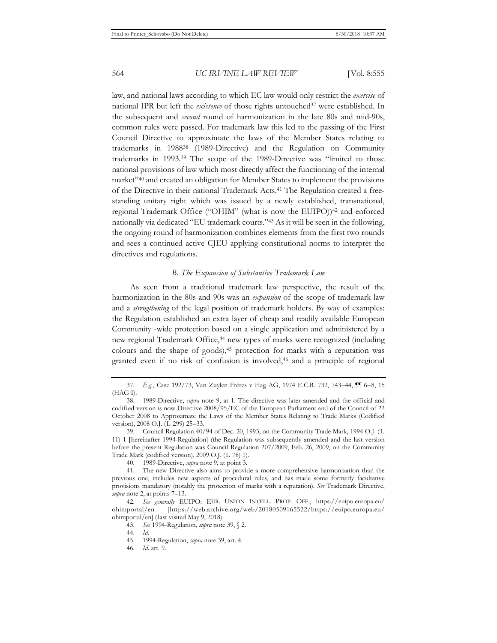law, and national laws according to which EC law would only restrict the *exercise* of national IPR but left the *existence* of those rights untouched<sup>37</sup> were established. In the subsequent and *second* round of harmonization in the late 80s and mid-90s, common rules were passed. For trademark law this led to the passing of the First Council Directive to approximate the laws of the Member States relating to trademarks in 198838 (1989-Directive) and the Regulation on Community trademarks in 1993.39 The scope of the 1989-Directive was "limited to those national provisions of law which most directly affect the functioning of the internal market"40 and created an obligation for Member States to implement the provisions of the Directive in their national Trademark Acts.41 The Regulation created a freestanding unitary right which was issued by a newly established, transnational, regional Trademark Office ("OHIM" (what is now the EUIPO))<sup>42</sup> and enforced nationally via dedicated "EU trademark courts."43 As it will be seen in the following, the ongoing round of harmonization combines elements from the first two rounds and sees a continued active CJEU applying constitutional norms to interpret the directives and regulations.

### *B. The Expansion of Substantive Trademark Law*

As seen from a traditional trademark law perspective, the result of the harmonization in the 80s and 90s was an *expansion* of the scope of trademark law and a *strengthening* of the legal position of trademark holders. By way of examples: the Regulation established an extra layer of cheap and readily available European Community -wide protection based on a single application and administered by a new regional Trademark Office,<sup>44</sup> new types of marks were recognized (including colours and the shape of goods),45 protection for marks with a reputation was granted even if no risk of confusion is involved,46 and a principle of regional

<sup>37.</sup> *E.g.*, Case 192/73, Van Zuylen Frères v Hag AG, 1974 E.C.R. 732, 743–44, ¶¶ 6–8, 15 (HAG I).

<sup>38. 1989-</sup>Directive, *supra* note 9, at 1. The directive was later amended and the official and codified version is now Directive 2008/95/EC of the European Parliament and of the Council of 22 October 2008 to Approximate the Laws of the Member States Relating to Trade Marks (Codified version), 2008 O.J. (L 299) 25–33.

<sup>39.</sup> Council Regulation 40/94 of Dec. 20, 1993, on the Community Trade Mark, 1994 O.J. (L 11) 1 [hereinafter 1994-Regulation] (the Regulation was subsequently amended and the last version before the present Regulation was Council Regulation 207/2009, Feb. 26, 2009, on the Community Trade Mark (codified version), 2009 O.J. (L 78) 1).

<sup>40. 1989-</sup>Directive, *supra* note 9, at point 3.

<sup>41.</sup> The new Directive also aims to provide a more comprehensive harmonization than the previous one, includes new aspects of procedural rules, and has made some formerly facultative provisions mandatory (notably the protection of marks with a reputation). *See* Trademark Directive, *supra* note 2, at points 7–13.

<sup>42.</sup> *See generally* EUIPO: EUR. UNION INTELL. PROP. OFF., https://euipo.europa.eu/ ohimportal/en [https://web.archive.org/web/20180509165522/https://euipo.europa.eu/ ohimportal/en] (last visited May 9, 2018).

<sup>43.</sup> *See* 1994-Regulation, *supra* note 39, § 2.

<sup>44.</sup> *Id.* 

<sup>45. 1994-</sup>Regulation, *supra* note 39, art. 4.

<sup>46.</sup> *Id.* art. 9.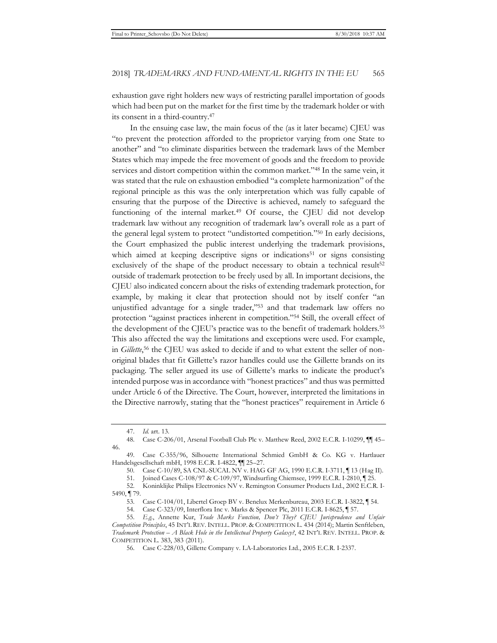exhaustion gave right holders new ways of restricting parallel importation of goods which had been put on the market for the first time by the trademark holder or with its consent in a third-country.47

In the ensuing case law, the main focus of the (as it later became) CJEU was "to prevent the protection afforded to the proprietor varying from one State to another" and "to eliminate disparities between the trademark laws of the Member States which may impede the free movement of goods and the freedom to provide services and distort competition within the common market."48 In the same vein, it was stated that the rule on exhaustion embodied "a complete harmonization" of the regional principle as this was the only interpretation which was fully capable of ensuring that the purpose of the Directive is achieved, namely to safeguard the functioning of the internal market.<sup>49</sup> Of course, the CJEU did not develop trademark law without any recognition of trademark law's overall role as a part of the general legal system to protect "undistorted competition."50 In early decisions, the Court emphasized the public interest underlying the trademark provisions, which aimed at keeping descriptive signs or indications<sup>51</sup> or signs consisting exclusively of the shape of the product necessary to obtain a technical result<sup>52</sup> outside of trademark protection to be freely used by all. In important decisions, the CJEU also indicated concern about the risks of extending trademark protection, for example, by making it clear that protection should not by itself confer "an unjustified advantage for a single trader,"53 and that trademark law offers no protection "against practices inherent in competition."54 Still, the overall effect of the development of the CJEU's practice was to the benefit of trademark holders.55 This also affected the way the limitations and exceptions were used. For example, in *Gillette*,<sup>56</sup> the CJEU was asked to decide if and to what extent the seller of nonoriginal blades that fit Gillette's razor handles could use the Gillette brands on its packaging. The seller argued its use of Gillette's marks to indicate the product's intended purpose was in accordance with "honest practices" and thus was permitted under Article 6 of the Directive. The Court, however, interpreted the limitations in the Directive narrowly, stating that the "honest practices" requirement in Article 6

<sup>47.</sup> *Id.* art. 13.

<sup>48.</sup> Case C-206/01, Arsenal Football Club Plc v. Matthew Reed, 2002 E.C.R. I-10299, ¶¶ 45– 46.

<sup>49.</sup> Case C-355/96, Silhouette International Schmied GmbH & Co. KG v. Hartlauer Handelsgesellschaft mbH, 1998 E.C.R. I-4822, ¶¶ 25–27.

<sup>50.</sup> Case C-10/89, SA CNL-SUCAL NV v. HAG GF AG, 1990 E.C.R. I-3711, ¶ 13 (Hag II).

<sup>51.</sup> Joined Cases C-108/97 & C-109/97, Windsurfing Chiemsee, 1999 E.C.R. I-2810, ¶ 25.

<sup>52.</sup> Koninklijke Philips Electronics NV v. Remington Consumer Products Ltd., 2002 E.C.R. I-5490, ¶ 79.

<sup>53.</sup> Case C-104/01, Libertel Groep BV v. Benelux Merkenbureau, 2003 E.C.R. I-3822, ¶ 54.

<sup>54.</sup> Case C-323/09, Interflora Inc v. Marks & Spencer Plc, 2011 E.C.R. I-8625, ¶ 57.

<sup>55.</sup> *E.g.*, Annette Kur, *Trade Marks Function, Don't They? CJEU Jurisprudence and Unfair Competition Principles*, 45 INT'L REV. INTELL. PROP. & COMPETITION L. 434 (2014); Martin Senftleben, *Trademark Protection – A Black Hole in the Intellectual Property Galaxy?*, 42 INT'L REV. INTELL. PROP. & COMPETITION L. 383, 383 (2011).

<sup>56.</sup> Case C-228/03, Gillette Company v. LA-Laboratories Ltd., 2005 E.C.R. I-2337.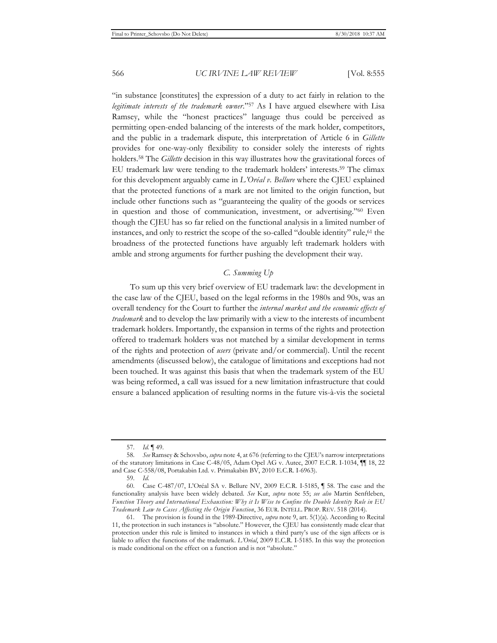"in substance [constitutes] the expression of a duty to act fairly in relation to the *legitimate interests of the trademark owner*."57 As I have argued elsewhere with Lisa Ramsey, while the "honest practices" language thus could be perceived as permitting open-ended balancing of the interests of the mark holder, competitors, and the public in a trademark dispute, this interpretation of Article 6 in *Gillette* provides for one-way-only flexibility to consider solely the interests of rights holders.58 The *Gillette* decision in this way illustrates how the gravitational forces of EU trademark law were tending to the trademark holders' interests.59 The climax for this development arguably came in *L'Oréal v. Bellure* where the CJEU explained that the protected functions of a mark are not limited to the origin function, but include other functions such as "guaranteeing the quality of the goods or services in question and those of communication, investment, or advertising."60 Even though the CJEU has so far relied on the functional analysis in a limited number of instances, and only to restrict the scope of the so-called "double identity" rule,61 the broadness of the protected functions have arguably left trademark holders with amble and strong arguments for further pushing the development their way.

#### *C. Summing Up*

To sum up this very brief overview of EU trademark law: the development in the case law of the CJEU, based on the legal reforms in the 1980s and 90s, was an overall tendency for the Court to further the *internal market and the economic effects of trademark* and to develop the law primarily with a view to the interests of incumbent trademark holders. Importantly, the expansion in terms of the rights and protection offered to trademark holders was not matched by a similar development in terms of the rights and protection of *users* (private and/or commercial). Until the recent amendments (discussed below), the catalogue of limitations and exceptions had not been touched. It was against this basis that when the trademark system of the EU was being reformed, a call was issued for a new limitation infrastructure that could ensure a balanced application of resulting norms in the future vis-à-vis the societal

<sup>57.</sup> *Id.* ¶ 49.

<sup>58.</sup> *See* Ramsey & Schovsbo, *supra* note 4, at 676 (referring to the CJEU's narrow interpretations of the statutory limitations in Case C-48/05, Adam Opel AG v. Autec, 2007 E.C.R. I-1034, ¶¶ 18, 22 and Case C-558/08, Portakabin Ltd. v. Primakabin BV, 2010 E.C.R. I-6963).

<sup>59.</sup> *Id.*

<sup>60.</sup> Case C-487/07, L'Oréal SA v. Bellure NV, 2009 E.C.R. I-5185, ¶ 58. The case and the functionality analysis have been widely debated. *See* Kur, *supra* note 55; *see also* Martin Senftleben, *Function Theory and International Exhaustion: Why it Is Wise to Confine the Double Identity Rule in EU Trademark Law to Cases Affecting the Origin Function*, 36 EUR. INTELL. PROP. REV. 518 (2014).

<sup>61.</sup> The provision is found in the 1989-Directive, *supra* note 9, art. 5(1)(a). According to Recital 11, the protection in such instances is "absolute." However, the CJEU has consistently made clear that protection under this rule is limited to instances in which a third party's use of the sign affects or is liable to affect the functions of the trademark. *L'Oréal*, 2009 E.C.R. I-5185. In this way the protection is made conditional on the effect on a function and is not "absolute."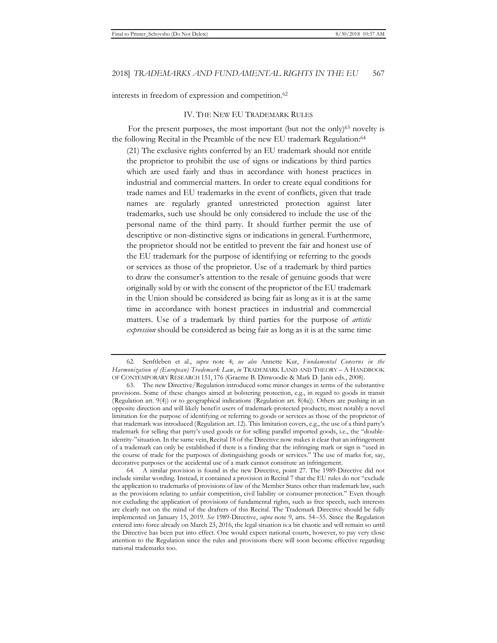interests in freedom of expression and competition.62

#### IV. THE NEW EU TRADEMARK RULES

For the present purposes, the most important (but not the only)<sup>63</sup> novelty is the following Recital in the Preamble of the new EU trademark Regulation:<sup>64</sup>

(21) The exclusive rights conferred by an EU trademark should not entitle the proprietor to prohibit the use of signs or indications by third parties which are used fairly and thus in accordance with honest practices in industrial and commercial matters. In order to create equal conditions for trade names and EU trademarks in the event of conflicts, given that trade names are regularly granted unrestricted protection against later trademarks, such use should be only considered to include the use of the personal name of the third party. It should further permit the use of descriptive or non-distinctive signs or indications in general. Furthermore, the proprietor should not be entitled to prevent the fair and honest use of the EU trademark for the purpose of identifying or referring to the goods or services as those of the proprietor. Use of a trademark by third parties to draw the consumer's attention to the resale of genuine goods that were originally sold by or with the consent of the proprietor of the EU trademark in the Union should be considered as being fair as long as it is at the same time in accordance with honest practices in industrial and commercial matters. Use of a trademark by third parties for the purpose of *artistic expression* should be considered as being fair as long as it is at the same time

<sup>62.</sup> Senftleben et al., *supra* note 4; *see also* Annette Kur, *Fundamental Concerns in the Harmonization of (European) Trademark Law*, *in* TRADEMARK LAND AND THEORY – A HANDBOOK OF CONTEMPORARY RESEARCH 151, 176 (Graeme B. Dinwoodie & Mark D. Janis eds., 2008).

<sup>63.</sup> The new Directive/Regulation introduced some minor changes in terms of the substantive provisions. Some of these changes aimed at bolstering protection, e.g., in regard to goods in transit (Regulation art. 9(4)) or to geographical indications (Regulation art. 8(4a)). Others are pushing in an opposite direction and will likely benefit users of trademark-protected products; most notably a novel limitation for the purpose of identifying or referring to goods or services as those of the proprietor of that trademark was introduced (Regulation art. 12). This limitation covers, e.g., the use of a third party's trademark for selling that party's used goods or for selling parallel imported goods, i.e., the "doubleidentity-"situation. In the same vein, Recital 18 of the Directive now makes it clear that an infringement of a trademark can only be established if there is a finding that the infringing mark or sign is "used in the course of trade for the purposes of distinguishing goods or services." The use of marks for, say, decorative purposes or the accidental use of a mark cannot constitute an infringement.

<sup>64.</sup> A similar provision is found in the new Directive, point 27. The 1989-Directive did not include similar wording. Instead, it contained a provision in Recital 7 that the EU rules do not "exclude the application to trademarks of provisions of law of the Member States other than trademark law, such as the provisions relating to unfair competition, civil liability or consumer protection." Even though not excluding the application of provisions of fundamental rights, such as free speech, such interests are clearly not on the mind of the drafters of this Recital. The Trademark Directive should be fully implemented on January 15, 2019. *See* 1989-Directive, *supra* note 9, arts. 54–55. Since the Regulation entered into force already on March 23, 2016, the legal situation is a bit chaotic and will remain so until the Directive has been put into effect. One would expect national courts, however, to pay very close attention to the Regulation since the rules and provisions there will soon become effective regarding national trademarks too.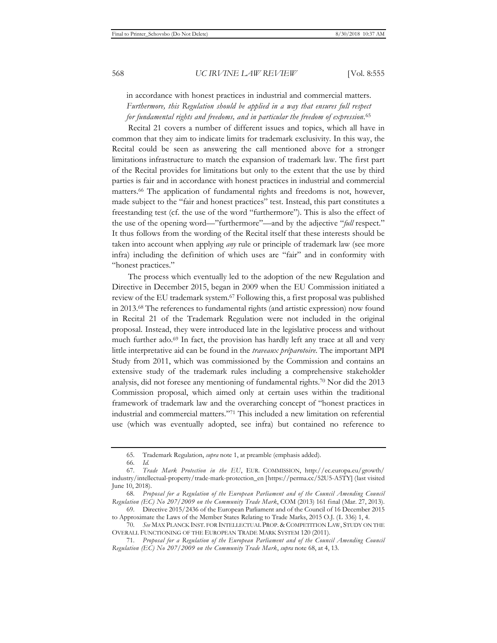in accordance with honest practices in industrial and commercial matters. *Furthermore, this Regulation should be applied in a way that ensures full respect for fundamental rights and freedoms, and in particular the freedom of expression.*<sup>65</sup>

 Recital 21 covers a number of different issues and topics, which all have in common that they aim to indicate limits for trademark exclusivity*.* In this way, the Recital could be seen as answering the call mentioned above for a stronger limitations infrastructure to match the expansion of trademark law. The first part of the Recital provides for limitations but only to the extent that the use by third parties is fair and in accordance with honest practices in industrial and commercial matters.66 The application of fundamental rights and freedoms is not, however, made subject to the "fair and honest practices" test. Instead, this part constitutes a freestanding test (cf. the use of the word "furthermore"). This is also the effect of the use of the opening word—"furthermore"—and by the adjective "*full* respect." It thus follows from the wording of the Recital itself that these interests should be taken into account when applying *any* rule or principle of trademark law (see more infra) including the definition of which uses are "fair" and in conformity with "honest practices."

 The process which eventually led to the adoption of the new Regulation and Directive in December 2015, began in 2009 when the EU Commission initiated a review of the EU trademark system.67 Following this, a first proposal was published in 2013.68 The references to fundamental rights (and artistic expression) now found in Recital 21 of the Trademark Regulation were not included in the original proposal. Instead, they were introduced late in the legislative process and without much further ado.69 In fact, the provision has hardly left any trace at all and very little interpretative aid can be found in the *traveaux préparotoire.* The important MPI Study from 2011, which was commissioned by the Commission and contains an extensive study of the trademark rules including a comprehensive stakeholder analysis, did not foresee any mentioning of fundamental rights.70 Nor did the 2013 Commission proposal, which aimed only at certain uses within the traditional framework of trademark law and the overarching concept of "honest practices in industrial and commercial matters."71 This included a new limitation on referential use (which was eventually adopted, see infra) but contained no reference to

<sup>65.</sup> Trademark Regulation, *supra* note 1, at preamble (emphasis added).

<sup>66.</sup> *Id.*

<sup>67.</sup> *Trade Mark Protection in the EU*, EUR. COMMISSION, http://ec.europa.eu/growth/ industry/intellectual-property/trade-mark-protection\_en [https://perma.cc/52U5-A5TY] (last visited June 10, 2018).

<sup>68.</sup> *Proposal for a Regulation of the European Parliament and of the Council Amending Council Regulation (EC) No 207/2009 on the Community Trade Mark*, COM (2013) 161 final (Mar. 27, 2013).

<sup>69.</sup> Directive 2015/2436 of the European Parliament and of the Council of 16 December 2015 to Approximate the Laws of the Member States Relating to Trade Marks, 2015 O.J. (L 336) 1, 4. 70. *See* MAX PLANCK INST. FOR INTELLECTUAL PROP. & COMPETITION LAW, STUDY ON THE

OVERALL FUNCTIONING OF THE EUROPEAN TRADE MARK SYSTEM 120 (2011).

<sup>71.</sup> *Proposal for a Regulation of the European Parliament and of the Council Amending Council Regulation (EC) No 207/2009 on the Community Trade Mark*, *supra* note 68, at 4, 13.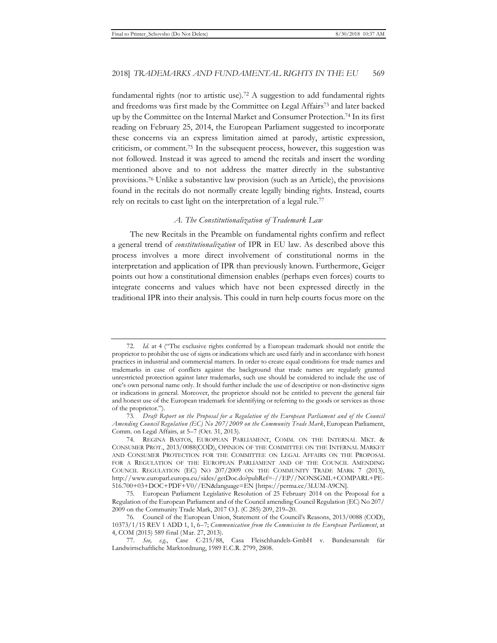fundamental rights (nor to artistic use).72 A suggestion to add fundamental rights and freedoms was first made by the Committee on Legal Affairs73 and later backed up by the Committee on the Internal Market and Consumer Protection.74 In its first reading on February 25, 2014, the European Parliament suggested to incorporate these concerns via an express limitation aimed at parody, artistic expression, criticism, or comment.75 In the subsequent process, however, this suggestion was not followed. Instead it was agreed to amend the recitals and insert the wording mentioned above and to not address the matter directly in the substantive provisions.76 Unlike a substantive law provision (such as an Article), the provisions found in the recitals do not normally create legally binding rights. Instead, courts rely on recitals to cast light on the interpretation of a legal rule.<sup>77</sup>

#### *A. The Constitutionalization of Trademark Law*

The new Recitals in the Preamble on fundamental rights confirm and reflect a general trend of *constitutionalization* of IPR in EU law. As described above this process involves a more direct involvement of constitutional norms in the interpretation and application of IPR than previously known. Furthermore, Geiger points out how a constitutional dimension enables (perhaps even forces) courts to integrate concerns and values which have not been expressed directly in the traditional IPR into their analysis. This could in turn help courts focus more on the

<sup>72.</sup> *Id.* at 4 ("The exclusive rights conferred by a European trademark should not entitle the proprietor to prohibit the use of signs or indications which are used fairly and in accordance with honest practices in industrial and commercial matters. In order to create equal conditions for trade names and trademarks in case of conflicts against the background that trade names are regularly granted unrestricted protection against later trademarks, such use should be considered to include the use of one's own personal name only. It should further include the use of descriptive or non-distinctive signs or indications in general. Moreover, the proprietor should not be entitled to prevent the general fair and honest use of the European trademark for identifying or referring to the goods or services as those of the proprietor.").

<sup>73.</sup> *Draft Report on the Proposal for a Regulation of the European Parliament and of the Council Amending Council Regulation (EC) No 207/2009 on the Community Trade Mark*, European Parliament, Comm. on Legal Affairs*,* at 5–7 (Oct. 31, 2013).

<sup>74.</sup> REGINA BASTOS, EUROPEAN PARLIAMENT, COMM. ON THE INTERNAL MKT. & CONSUMER PROT., 2013/0088(COD), OPINION OF THE COMMITTEE ON THE INTERNAL MARKET AND CONSUMER PROTECTION FOR THE COMMITTEE ON LEGAL AFFAIRS ON THE PROPOSAL FOR A REGULATION OF THE EUROPEAN PARLIAMENT AND OF THE COUNCIL AMENDING COUNCIL REGULATION (EC) NO 207/2009 ON THE COMMUNITY TRADE MARK 7 (2013), http://www.europarl.europa.eu/sides/getDoc.do?pubRef=-//EP//NONSGML+COMPARL+PE-516.700+03+DOC+PDF+V0//EN&language=EN [https://perma.cc/3LUM-A9CN].

<sup>75.</sup> European Parliament Legislative Resolution of 25 February 2014 on the Proposal for a Regulation of the European Parliament and of the Council amending Council Regulation (EC) No 207/ 2009 on the Community Trade Mark, 2017 O.J. (C 285) 209, 219–20.

<sup>76.</sup> Council of the European Union, Statement of the Council's Reasons, 2013/0088 (COD), 10373/1/15 REV 1 ADD 1, 1, 6–7; *Communication from the Commission to the European Parliament*, at 4, COM (2015) 589 final (Mar. 27, 2013).

<sup>77.</sup> *See, e.g.*, Case C-215/88, Casa Fleischhandels-GmbH v. Bundesanstalt für Landwirtschaftliche Marktordnung, 1989 E.C.R. 2799, 2808.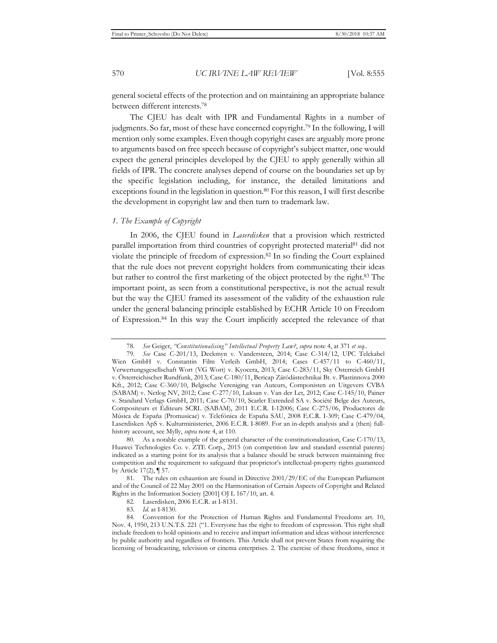general societal effects of the protection and on maintaining an appropriate balance between different interests.78

The CJEU has dealt with IPR and Fundamental Rights in a number of judgments. So far, most of these have concerned copyright.79 In the following, I will mention only some examples. Even though copyright cases are arguably more prone to arguments based on free speech because of copyright's subject matter, one would expect the general principles developed by the CJEU to apply generally within all fields of IPR. The concrete analyses depend of course on the boundaries set up by the specific legislation including, for instance, the detailed limitations and exceptions found in the legislation in question.80 For this reason, I will first describe the development in copyright law and then turn to trademark law.

#### *1. The Example of Copyright*

In 2006, the CJEU found in *Laserdisken* that a provision which restricted parallel importation from third countries of copyright protected material81 did not violate the principle of freedom of expression.82 In so finding the Court explained that the rule does not prevent copyright holders from communicating their ideas but rather to control the first marketing of the object protected by the right.83 The important point, as seen from a constitutional perspective, is not the actual result but the way the CJEU framed its assessment of the validity of the exhaustion rule under the general balancing principle established by ECHR Article 10 on Freedom of Expression.84 In this way the Court implicitly accepted the relevance of that

<sup>78.</sup> *See* Geiger, *"Constitutionalising" Intellectual Property Law?*, *supra* note 4, at 371 *et seq.*.

<sup>79.</sup> *See* Case C-201/13, Deckmyn v. Vandersteen, 2014; Case C-314/12, UPC Telekabel Wien GmbH v. Constantin Film Verleih GmbH, 2014; Cases C-457/11 to C-460/11, Verwertungsgesellschaft Wort (VG Wort) v. Kyocera, 2013; Case C-283/11, Sky Österreich GmbH v. Österreichischer Rundfunk, 2013; Case C-180/11, Bericap Záródástechnikai Bt. v. Plastinnova 2000 Kft., 2012; Case C-360/10, Belgische Vereniging van Auteurs, Componisten en Uitgevers CVBA (SABAM) v. Netlog NV, 2012; Case C-277/10, Luksan v. Van der Let, 2012; Case C-145/10, Painer v. Standard Verlags GmbH, 2011; Case C-70/10, Scarlet Extended SA v. Société Belge des Auteurs, Compositeurs et Éditeurs SCRL (SABAM), 2011 E.C.R. I-12006; Case C-275/06, Productores de Música de España (Promusicae) v. Telefónica de España SAU, 2008 E.C.R. I-309; Case C-479/04, Laserdisken ApS v. Kulturministeriet, 2006 E.C.R. I-8089. For an in-depth analysis and a (then) fullhistory account, see Mylly, *supra* note 4, at 110.

<sup>80.</sup> As a notable example of the general character of the constitutionalization, Case C-170/13, Huawei Technologies Co. v. ZTE Corp., 2015 (on competition law and standard essential patents) indicated as a starting point for its analysis that a balance should be struck between maintaining free competition and the requirement to safeguard that proprietor's intellectual-property rights guaranteed by Article 17(2), ¶ 57.

<sup>81.</sup> The rules on exhaustion are found in Directive 2001/29/EC of the European Parliament and of the Council of 22 May 2001 on the Harmonisation of Certain Aspects of Copyright and Related Rights in the Information Society [2001] OJ L 167/10, art. 4.

<sup>82.</sup> Laserdisken, 2006 E.C.R. at I-8131.

<sup>83.</sup> *Id.* at I-8130.

<sup>84.</sup> Convention for the Protection of Human Rights and Fundamental Freedoms art. 10, Nov. 4, 1950, 213 U.N.T.S. 221 ("1. Everyone has the right to freedom of expression. This right shall include freedom to hold opinions and to receive and impart information and ideas without interference by public authority and regardless of frontiers. This Article shall not prevent States from requiring the licensing of broadcasting, television or cinema enterprises. 2. The exercise of these freedoms, since it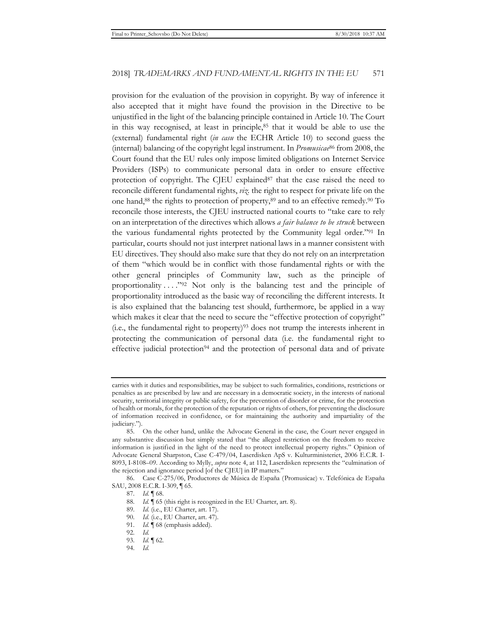provision for the evaluation of the provision in copyright. By way of inference it also accepted that it might have found the provision in the Directive to be unjustified in the light of the balancing principle contained in Article 10. The Court in this way recognised, at least in principle, $85$  that it would be able to use the (external) fundamental right (*in casu* the ECHR Article 10) to second guess the (internal) balancing of the copyright legal instrument. In *Promusicae*86 from 2008, the Court found that the EU rules only impose limited obligations on Internet Service Providers (ISPs) to communicate personal data in order to ensure effective protection of copyright. The CIEU explained $8^7$  that the case raised the need to reconcile different fundamental rights, *viz.* the right to respect for private life on the one hand,88 the rights to protection of property,89 and to an effective remedy.90 To reconcile those interests, the CJEU instructed national courts to "take care to rely on an interpretation of the directives which allows *a fair balance to be struck* between the various fundamental rights protected by the Community legal order."91 In particular, courts should not just interpret national laws in a manner consistent with EU directives. They should also make sure that they do not rely on an interpretation of them "which would be in conflict with those fundamental rights or with the other general principles of Community law, such as the principle of proportionality  $\dots$ ."<sup>92</sup> Not only is the balancing test and the principle of proportionality introduced as the basic way of reconciling the different interests. It is also explained that the balancing test should, furthermore, be applied in a way which makes it clear that the need to secure the "effective protection of copyright"  $(i.e., the fundamental right to property)<sup>93</sup> does not turn the interests inherent in$ protecting the communication of personal data (i.e. the fundamental right to effective judicial protection<sup>94</sup> and the protection of personal data and of private

carries with it duties and responsibilities, may be subject to such formalities, conditions, restrictions or penalties as are prescribed by law and are necessary in a democratic society, in the interests of national security, territorial integrity or public safety, for the prevention of disorder or crime, for the protection of health or morals, for the protection of the reputation or rights of others, for preventing the disclosure of information received in confidence, or for maintaining the authority and impartiality of the judiciary.").

<sup>85.</sup> On the other hand, unlike the Advocate General in the case, the Court never engaged in any substantive discussion but simply stated that "the alleged restriction on the freedom to receive information is justified in the light of the need to protect intellectual property rights." Opinion of Advocate General Sharpston, Case C-479/04, Laserdisken ApS v. Kulturministeriet, 2006 E.C.R. I-8093, I-8108–09. According to Mylly, *supra* note 4, at 112, Laserdisken represents the "culmination of the rejection and ignorance period [of the CJEU] in IP matters."

<sup>86.</sup> Case C-275/06, Productores de Música de España (Promusicae) v. Telefónica de España SAU, 2008 E.C.R. I-309, ¶ 65.

<sup>87.</sup> *Id.* ¶ 68.

<sup>88.</sup> *Id.* ¶ 65 (this right is recognized in the EU Charter, art. 8).

<sup>89.</sup> *Id.* (i.e., EU Charter, art. 17).

<sup>90.</sup> *Id.* (i.e., EU Charter, art. 47).

<sup>91.</sup> *Id.* ¶ 68 (emphasis added).

<sup>92.</sup> *Id.*

<sup>93.</sup> *Id.* ¶ 62.

<sup>94.</sup> *Id.*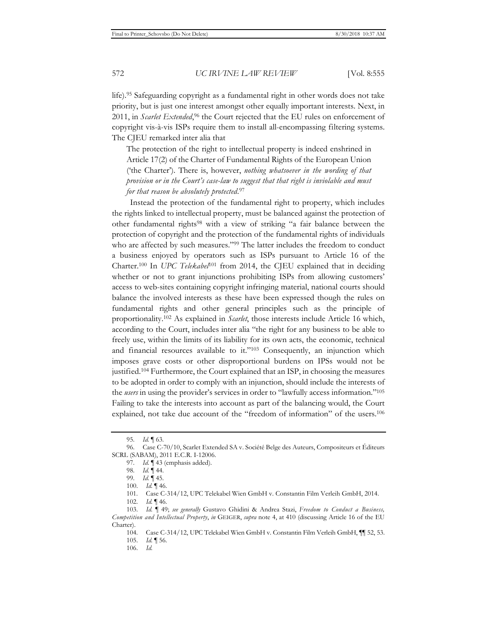life).95 Safeguarding copyright as a fundamental right in other words does not take priority, but is just one interest amongst other equally important interests. Next, in 2011, in *Scarlet Extended*, 96 the Court rejected that the EU rules on enforcement of copyright vis-à-vis ISPs require them to install all-encompassing filtering systems. The CJEU remarked inter alia that

The protection of the right to intellectual property is indeed enshrined in Article 17(2) of the Charter of Fundamental Rights of the European Union ('the Charter'). There is, however, *nothing whatsoever in the wording of that provision or in the Court's case-law to suggest that that right is inviolable and must for that reason be absolutely protected*.97

Instead the protection of the fundamental right to property, which includes the rights linked to intellectual property, must be balanced against the protection of other fundamental rights98 with a view of striking "a fair balance between the protection of copyright and the protection of the fundamental rights of individuals who are affected by such measures."<sup>99</sup> The latter includes the freedom to conduct a business enjoyed by operators such as ISPs pursuant to Article 16 of the Charter.<sup>100</sup> In *UPC Telekabel*<sup>101</sup> from 2014, the CJEU explained that in deciding whether or not to grant injunctions prohibiting ISPs from allowing customers' access to web-sites containing copyright infringing material, national courts should balance the involved interests as these have been expressed though the rules on fundamental rights and other general principles such as the principle of proportionality.102 As explained in *Scarlet*, those interests include Article 16 which, according to the Court, includes inter alia "the right for any business to be able to freely use, within the limits of its liability for its own acts, the economic, technical and financial resources available to it."103 Consequently, an injunction which imposes grave costs or other disproportional burdens on IPSs would not be justified.104 Furthermore, the Court explained that an ISP, in choosing the measures to be adopted in order to comply with an injunction, should include the interests of the *users* in using the provider's services in order to "lawfully access information."105 Failing to take the interests into account as part of the balancing would, the Court explained, not take due account of the "freedom of information" of the users.106

<sup>95.</sup> *Id.* ¶ 63.

<sup>96.</sup> Case C-70/10, Scarlet Extended SA v. Société Belge des Auteurs, Compositeurs et Éditeurs SCRL (SABAM), 2011 E.C.R. I-12006.

<sup>97.</sup> *Id.* ¶ 43 (emphasis added).

<sup>98.</sup> *Id.* ¶ 44.

<sup>99.</sup> *Id.* ¶ 45.

<sup>100.</sup> *Id.* ¶ 46.

<sup>101.</sup> Case C-314/12, UPC Telekabel Wien GmbH v. Constantin Film Verleih GmbH, 2014.

<sup>102.</sup> *Id.* ¶ 46.

<sup>103.</sup> *Id.* ¶ 49; *see generally* Gustavo Ghidini & Andrea Stazi, *Freedom to Conduct a Business, Competition and Intellectual Property*, *in* GEIGER, *supra* note 4, at 410 (discussing Article 16 of the EU Charter).

<sup>104.</sup> Case C-314/12, UPC Telekabel Wien GmbH v. Constantin Film Verleih GmbH, ¶¶ 52, 53.

<sup>105.</sup> *Id.* ¶ 56.

<sup>106.</sup> *Id.*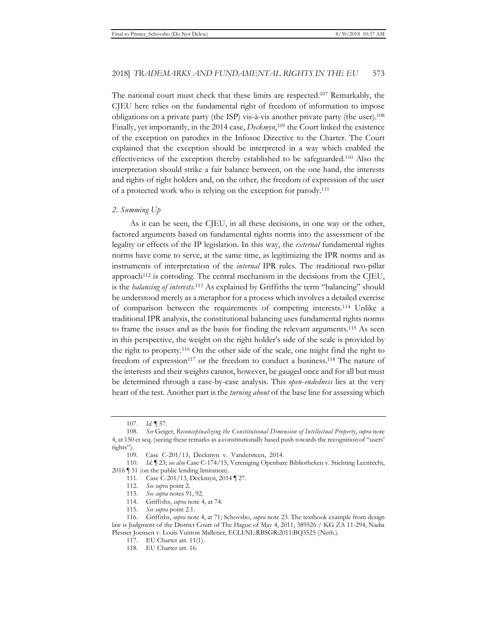The national court must check that these limits are respected.107 Remarkably, the CJEU here relies on the fundamental right of freedom of information to impose obligations on a private party (the ISP) vis-à-vis another private party (the user).108 Finally, yet importantly, in the 2014 case, *Deckmyn*, 109 the Court linked the existence of the exception on parodies in the Infosoc Directive to the Charter. The Court explained that the exception should be interpreted in a way which enabled the effectiveness of the exception thereby established to be safeguarded.110 Also the interpretation should strike a fair balance between, on the one hand, the interests and rights of right holders and, on the other, the freedom of expression of the user of a protected work who is relying on the exception for parody.111

#### *2. Summing Up*

As it can be seen, the CJEU, in all these decisions, in one way or the other, factored arguments based on fundamental rights norms into the assessment of the legality or effects of the IP legislation. In this way, the *external* fundamental rights norms have come to serve, at the same time, as legitimizing the IPR norms and as instruments of interpretation of the *internal* IPR rules. The traditional two-pillar approach<sup>112</sup> is corroding. The central mechanism in the decisions from the C[EU, is the *balancing of interests*. 113 As explained by Griffiths the term "balancing" should be understood merely as a metaphor for a process which involves a detailed exercise of comparison between the requirements of competing interests.114 Unlike a traditional IPR analysis, the constitutional balancing uses fundamental rights norms to frame the issues and as the basis for finding the relevant arguments.115 As seen in this perspective, the weight on the right holder's side of the scale is provided by the right to property.116 On the other side of the scale, one might find the right to freedom of expression117 or the freedom to conduct a business.118 The nature of the interests and their weights cannot, however, be gauged once and for all but must be determined through a case-by-case analysis. This *open*-*endedness* lies at the very heart of the test. Another part is the *turning about* of the base line for assessing which

<sup>107.</sup> *Id.* ¶ 57.

<sup>108.</sup> *See* Geiger, *Reconceptualizing the Constitutional Dimension of Intellectual Property*, *supra* note 4, at 150 et seq. (seeing these remarks as a constitutionally based push towards the recognition of "users' rights").

<sup>109.</sup> Case C-201/13, Deckmyn v. Vandersteen, 2014.

<sup>110.</sup> *Id.* ¶ 23; *see also* Case C-174/15, Vereniging Openbare Bibliotheken v. Stichting Leenrecht, 2016 ¶ 51 (on the public lending limitation).

<sup>111.</sup> Case C-201/13, Deckmyn, 2014 ¶ 27.

<sup>112.</sup> *See supra* point 2.

<sup>113.</sup> *See supra* notes 91, 92.

<sup>114.</sup> Griffiths, *supra* note 4, at 74.

<sup>115.</sup> *See supra* point 2.1.

<sup>116.</sup> Griffiths, *supra* note 4, at 71; Schovsbo, *supra* note 23. The textbook example from design law is Judgment of the District Court of The Hague of May 4, 2011, 389526 / KG ZA 11-294, Nadia Plesner Joensen v. Louis Vuitton Malletier, ECLI:NL:RBSGR:2011:BQ3525 (Neth.).

<sup>117.</sup> EU Charter art. 11(1).

<sup>118.</sup> EU Charter art. 16.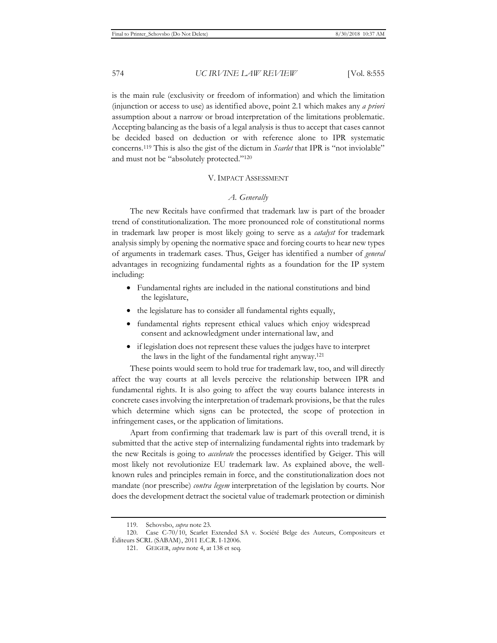is the main rule (exclusivity or freedom of information) and which the limitation (injunction or access to use) as identified above, point 2.1 which makes any *a priori* assumption about a narrow or broad interpretation of the limitations problematic. Accepting balancing as the basis of a legal analysis is thus to accept that cases cannot be decided based on deduction or with reference alone to IPR systematic concerns.119 This is also the gist of the dictum in *Scarlet* that IPR is "not inviolable" and must not be "absolutely protected."120

#### V. IMPACT ASSESSMENT

#### *A. Generally*

The new Recitals have confirmed that trademark law is part of the broader trend of constitutionalization. The more pronounced role of constitutional norms in trademark law proper is most likely going to serve as a *catalyst* for trademark analysis simply by opening the normative space and forcing courts to hear new types of arguments in trademark cases. Thus, Geiger has identified a number of *general*  advantages in recognizing fundamental rights as a foundation for the IP system including:

- Fundamental rights are included in the national constitutions and bind the legislature,
- the legislature has to consider all fundamental rights equally,
- fundamental rights represent ethical values which enjoy widespread consent and acknowledgment under international law, and
- if legislation does not represent these values the judges have to interpret the laws in the light of the fundamental right anyway.121

These points would seem to hold true for trademark law, too, and will directly affect the way courts at all levels perceive the relationship between IPR and fundamental rights. It is also going to affect the way courts balance interests in concrete cases involving the interpretation of trademark provisions, be that the rules which determine which signs can be protected, the scope of protection in infringement cases, or the application of limitations.

Apart from confirming that trademark law is part of this overall trend, it is submitted that the active step of internalizing fundamental rights into trademark by the new Recitals is going to *accelerate* the processes identified by Geiger. This will most likely not revolutionize EU trademark law. As explained above, the wellknown rules and principles remain in force, and the constitutionalization does not mandate (nor prescribe) *contra legem* interpretation of the legislation by courts. Nor does the development detract the societal value of trademark protection or diminish

<sup>119.</sup> Schovsbo, *supra* note 23.

<sup>120.</sup> Case C-70/10, Scarlet Extended SA v. Société Belge des Auteurs, Compositeurs et Éditeurs SCRL (SABAM), 2011 E.C.R. I-12006.

<sup>121.</sup> GEIGER, *supra* note 4, at 138 et seq.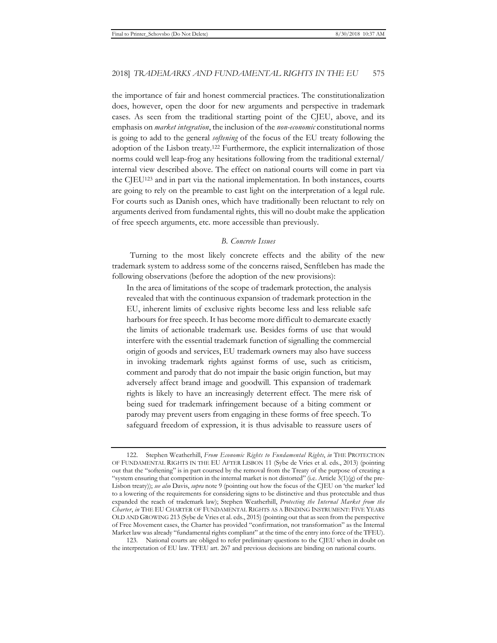the importance of fair and honest commercial practices. The constitutionalization does, however, open the door for new arguments and perspective in trademark cases. As seen from the traditional starting point of the CJEU, above, and its emphasis on *market integration*, the inclusion of the *non-economic* constitutional norms is going to add to the general *softening* of the focus of the EU treaty following the adoption of the Lisbon treaty.122 Furthermore, the explicit internalization of those norms could well leap-frog any hesitations following from the traditional external/ internal view described above. The effect on national courts will come in part via the CJEU123 and in part via the national implementation. In both instances, courts are going to rely on the preamble to cast light on the interpretation of a legal rule. For courts such as Danish ones, which have traditionally been reluctant to rely on arguments derived from fundamental rights, this will no doubt make the application of free speech arguments, etc. more accessible than previously.

#### *B. Concrete Issues*

Turning to the most likely concrete effects and the ability of the new trademark system to address some of the concerns raised, Senftleben has made the following observations (before the adoption of the new provisions):

In the area of limitations of the scope of trademark protection, the analysis revealed that with the continuous expansion of trademark protection in the EU, inherent limits of exclusive rights become less and less reliable safe harbours for free speech. It has become more difficult to demarcate exactly the limits of actionable trademark use. Besides forms of use that would interfere with the essential trademark function of signalling the commercial origin of goods and services, EU trademark owners may also have success in invoking trademark rights against forms of use, such as criticism, comment and parody that do not impair the basic origin function, but may adversely affect brand image and goodwill. This expansion of trademark rights is likely to have an increasingly deterrent effect. The mere risk of being sued for trademark infringement because of a biting comment or parody may prevent users from engaging in these forms of free speech. To safeguard freedom of expression, it is thus advisable to reassure users of

123. National courts are obliged to refer preliminary questions to the CJEU when in doubt on the interpretation of EU law. TFEU art. 267 and previous decisions are binding on national courts.

<sup>122.</sup> Stephen Weatherhill, *From Economic Rights to Fundamental Rights*, *in* THE PROTECTION OF FUNDAMENTAL RIGHTS IN THE EU AFTER LISBON 11 (Sybe de Vries et al. eds., 2013) (pointing out that the "softening" is in part coursed by the removal from the Treaty of the purpose of creating a "system ensuring that competition in the internal market is not distorted" (i.e. Article 3(1)(g) of the pre-Lisbon treaty)); *see also* Davis, *supra* note 9 (pointing out how the focus of the CJEU on 'the market' led to a lowering of the requirements for considering signs to be distinctive and thus protectable and thus expanded the reach of trademark law); Stephen Weatherhill, *Protecting the Internal Market from the Charter*, *in* THE EU CHARTER OF FUNDAMENTAL RIGHTS AS A BINDING INSTRUMENT: FIVE YEARS OLD AND GROWING 213 (Sybe de Vries et al. eds., 2015) (pointing out that as seen from the perspective of Free Movement cases, the Charter has provided "confirmation, not transformation" as the Internal Market law was already "fundamental rights compliant" at the time of the entry into force of the TFEU).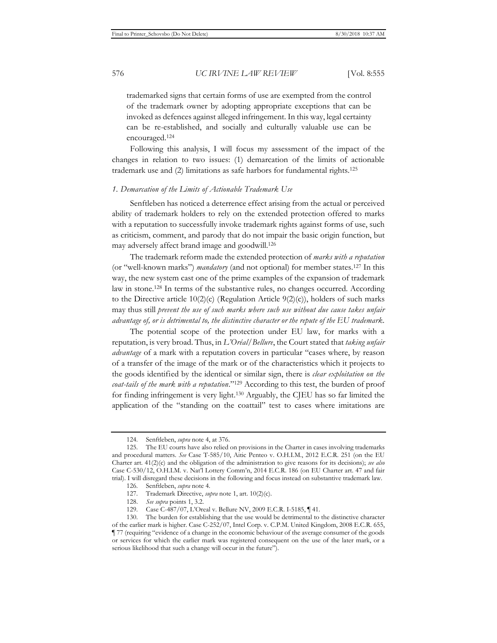trademarked signs that certain forms of use are exempted from the control of the trademark owner by adopting appropriate exceptions that can be invoked as defences against alleged infringement. In this way, legal certainty can be re-established, and socially and culturally valuable use can be encouraged.124

Following this analysis, I will focus my assessment of the impact of the changes in relation to two issues: (1) demarcation of the limits of actionable trademark use and (2) limitations as safe harbors for fundamental rights.125

#### *1. Demarcation of the Limits of Actionable Trademark Use*

Senftleben has noticed a deterrence effect arising from the actual or perceived ability of trademark holders to rely on the extended protection offered to marks with a reputation to successfully invoke trademark rights against forms of use, such as criticism, comment, and parody that do not impair the basic origin function, but may adversely affect brand image and goodwill.126

The trademark reform made the extended protection of *marks with a reputation* (or "well-known marks") *mandatory* (and not optional) for member states.127 In this way, the new system cast one of the prime examples of the expansion of trademark law in stone.128 In terms of the substantive rules, no changes occurred. According to the Directive article  $10(2)(c)$  (Regulation Article  $9(2)(c)$ ), holders of such marks may thus still *prevent the use of such marks where such use without due cause takes unfair advantage of, or is detrimental to, the distinctive character or the repute of the EU trademark*.

The potential scope of the protection under EU law, for marks with a reputation, is very broad. Thus, in *L'Oréal/Bellure*, the Court stated that *taking unfair advantage* of a mark with a reputation covers in particular "cases where, by reason of a transfer of the image of the mark or of the characteristics which it projects to the goods identified by the identical or similar sign, there is *clear exploitation on the coat-tails of the mark with a reputation*."129 According to this test, the burden of proof for finding infringement is very light.130 Arguably, the CJEU has so far limited the application of the "standing on the coattail" test to cases where imitations are

<sup>124.</sup> Senftleben, *supra* note 4, at 376.

<sup>125.</sup> The EU courts have also relied on provisions in the Charter in cases involving trademarks and procedural matters. *See* Case T-585/10, Aitic Penteo v. O.H.I.M., 2012 E.C.R. 251 (on the EU Charter art. 41(2)(c) and the obligation of the administration to give reasons for its decisions); *see also* Case C-530/12, O.H.I.M. v. Nat'l Lottery Comm'n, 2014 E.C.R. 186 (on EU Charter art. 47 and fair trial). I will disregard these decisions in the following and focus instead on substantive trademark law.

<sup>126.</sup> Senftleben, *supra* note 4.

<sup>127.</sup> Trademark Directive, *supra* note 1, art. 10(2)(c).

<sup>128.</sup> *See supra* points 1, 3.2.

<sup>129.</sup> Case C-487/07, L'Oreal v. Bellure NV, 2009 E.C.R. I-5185, ¶ 41.

<sup>130.</sup> The burden for establishing that the use would be detrimental to the distinctive character of the earlier mark is higher. Case C-252/07, Intel Corp. v. C.P.M. United Kingdom, 2008 E.C.R. 655, ¶ 77 (requiring "evidence of a change in the economic behaviour of the average consumer of the goods or services for which the earlier mark was registered consequent on the use of the later mark, or a serious likelihood that such a change will occur in the future").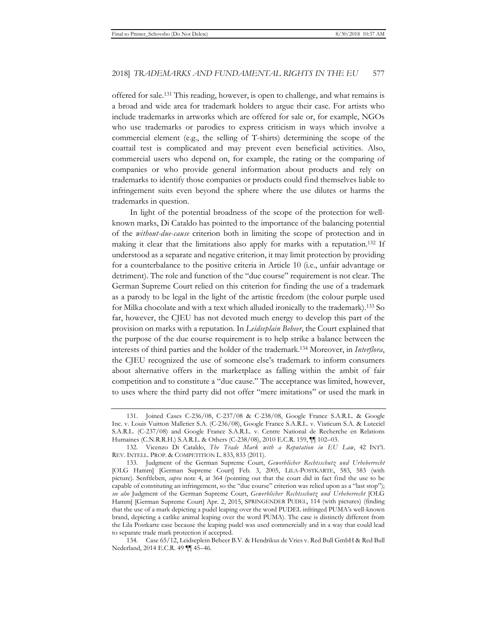offered for sale.131 This reading, however, is open to challenge, and what remains is a broad and wide area for trademark holders to argue their case. For artists who include trademarks in artworks which are offered for sale or, for example, NGOs who use trademarks or parodies to express criticism in ways which involve a commercial element (e.g., the selling of T-shirts) determining the scope of the coattail test is complicated and may prevent even beneficial activities. Also, commercial users who depend on, for example, the rating or the comparing of companies or who provide general information about products and rely on trademarks to identify those companies or products could find themselves liable to infringement suits even beyond the sphere where the use dilutes or harms the trademarks in question.

In light of the potential broadness of the scope of the protection for wellknown marks, Di Cataldo has pointed to the importance of the balancing potential of the *without-due-cause* criterion both in limiting the scope of protection and in making it clear that the limitations also apply for marks with a reputation.132 If understood as a separate and negative criterion, it may limit protection by providing for a counterbalance to the positive criteria in Article 10 (i.e., unfair advantage or detriment). The role and function of the "due course" requirement is not clear. The German Supreme Court relied on this criterion for finding the use of a trademark as a parody to be legal in the light of the artistic freedom (the colour purple used for Milka chocolate and with a text which alluded ironically to the trademark).133 So far, however, the CJEU has not devoted much energy to develop this part of the provision on marks with a reputation. In *Leidseplain Beheer*, the Court explained that the purpose of the due course requirement is to help strike a balance between the interests of third parties and the holder of the trademark.134 Moreover, in *Interflora*, the CJEU recognized the use of someone else's trademark to inform consumers about alternative offers in the marketplace as falling within the ambit of fair competition and to constitute a "due cause." The acceptance was limited, however, to uses where the third party did not offer "mere imitations" or used the mark in

<sup>131.</sup> Joined Cases C-236/08, C-237/08 & C-238/08, Google France S.A.R.L. & Google Inc. v. Louis Vuitton Malletier S.A. (C-236/08), Google France S.A.R.L. v. Viaticum S.A. & Luteciel S.A.R.L. (C-237/08) and Google France S.A.R.L. v. Centre National de Recherche en Relations Humaines (C.N.R.R.H.) S.A.R.L. & Others (C-238/08), 2010 E.C.R. 159, ¶¶ 102–03.

<sup>132.</sup> Vicenzo Di Cataldo, *The Trade Mark with a Reputation in EU Law*, 42 INT'L REV. INTELL. PROP. & COMPETITION L. 833, 833 (2011).

<sup>133.</sup> Judgment of the German Supreme Court, *Gewerblicher Rechtsschutz und Urheberrecht*  [OLG Hamm] [German Supreme Court] Feb. 3, 2005, LILA-POSTKARTE, 583, 583 (with picture). Senftleben, *supra* note 4, at 364 (pointing out that the court did in fact find the use to be capable of constituting an infringement, so the "due course" criterion was relied upon as a "last stop"); *see also* Judgment of the German Supreme Court, *Gewerblicher Rechtsschutz und Urheberrecht* [OLG Hamm] [German Supreme Court] Apr. 2, 2015, SPRINGENDER PUDEL, 114 (with pictures) (finding that the use of a mark depicting a pudel leaping over the word PUDEL infringed PUMA's well-known brand, depicting a catlike animal leaping over the word PUMA). The case is distinctly different from the Lila Postkarte case because the leaping pudel was used commercially and in a way that could lead to separate trade mark protection if accepted.

<sup>134.</sup> Case 65/12, Leidseplein Beheer B.V. & Hendrikus de Vries v. Red Bull GmbH & Red Bull Nederland, 2014 E.C.R. 49 ¶¶ 45–46.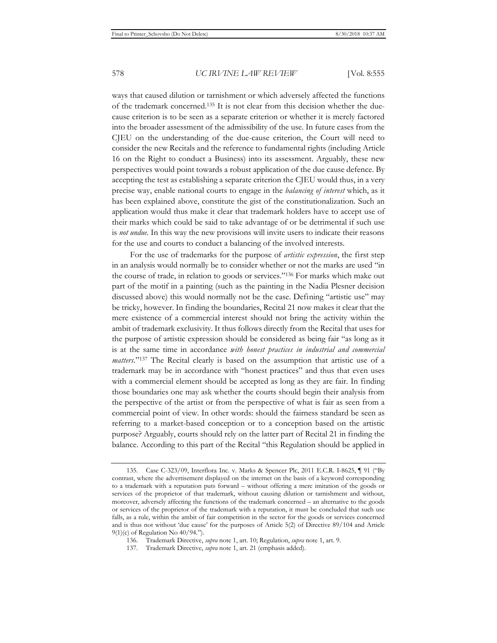ways that caused dilution or tarnishment or which adversely affected the functions of the trademark concerned.135 It is not clear from this decision whether the duecause criterion is to be seen as a separate criterion or whether it is merely factored into the broader assessment of the admissibility of the use. In future cases from the CJEU on the understanding of the due-cause criterion, the Court will need to consider the new Recitals and the reference to fundamental rights (including Article 16 on the Right to conduct a Business) into its assessment. Arguably, these new perspectives would point towards a robust application of the due cause defence. By accepting the test as establishing a separate criterion the CJEU would thus, in a very precise way, enable national courts to engage in the *balancing of interest* which, as it has been explained above, constitute the gist of the constitutionalization. Such an application would thus make it clear that trademark holders have to accept use of their marks which could be said to take advantage of or be detrimental if such use is *not undue*. In this way the new provisions will invite users to indicate their reasons for the use and courts to conduct a balancing of the involved interests.

For the use of trademarks for the purpose of *artistic expression*, the first step in an analysis would normally be to consider whether or not the marks are used "in the course of trade, in relation to goods or services."136 For marks which make out part of the motif in a painting (such as the painting in the Nadia Plesner decision discussed above) this would normally not be the case. Defining "artistic use" may be tricky, however. In finding the boundaries, Recital 21 now makes it clear that the mere existence of a commercial interest should not bring the activity within the ambit of trademark exclusivity. It thus follows directly from the Recital that uses for the purpose of artistic expression should be considered as being fair "as long as it is at the same time in accordance *with honest practices in industrial and commercial matters*."137 The Recital clearly is based on the assumption that artistic use of a trademark may be in accordance with "honest practices" and thus that even uses with a commercial element should be accepted as long as they are fair. In finding those boundaries one may ask whether the courts should begin their analysis from the perspective of the artist or from the perspective of what is fair as seen from a commercial point of view. In other words: should the fairness standard be seen as referring to a market-based conception or to a conception based on the artistic purpose? Arguably, courts should rely on the latter part of Recital 21 in finding the balance. According to this part of the Recital "this Regulation should be applied in

<sup>135.</sup> Case C-323/09, Interflora Inc. v. Marks & Spencer Plc, 2011 E.C.R. I-8625, ¶ 91 ("By contrast, where the advertisement displayed on the internet on the basis of a keyword corresponding to a trademark with a reputation puts forward – without offering a mere imitation of the goods or services of the proprietor of that trademark, without causing dilution or tarnishment and without, moreover, adversely affecting the functions of the trademark concerned – an alternative to the goods or services of the proprietor of the trademark with a reputation, it must be concluded that such use falls, as a rule, within the ambit of fair competition in the sector for the goods or services concerned and is thus not without 'due cause' for the purposes of Article 5(2) of Directive 89/104 and Article 9(1)(c) of Regulation No 40/94.").

<sup>136.</sup> Trademark Directive, *supra* note 1, art. 10; Regulation, *supra* note 1, art. 9.

<sup>137.</sup> Trademark Directive, *supra* note 1, art. 21 (emphasis added).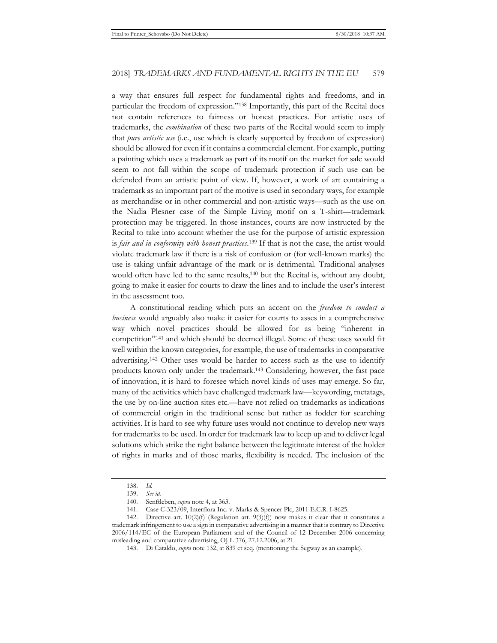a way that ensures full respect for fundamental rights and freedoms, and in particular the freedom of expression."138 Importantly, this part of the Recital does not contain references to fairness or honest practices. For artistic uses of trademarks, the *combination* of these two parts of the Recital would seem to imply that *pure artistic use* (i.e., use which is clearly supported by freedom of expression) should be allowed for even if it contains a commercial element. For example, putting a painting which uses a trademark as part of its motif on the market for sale would seem to not fall within the scope of trademark protection if such use can be defended from an artistic point of view. If, however, a work of art containing a trademark as an important part of the motive is used in secondary ways, for example as merchandise or in other commercial and non-artistic ways—such as the use on the Nadia Plesner case of the Simple Living motif on a T-shirt—trademark protection may be triggered. In those instances, courts are now instructed by the Recital to take into account whether the use for the purpose of artistic expression is *fair and in conformity with honest practices*. 139 If that is not the case, the artist would violate trademark law if there is a risk of confusion or (for well-known marks) the use is taking unfair advantage of the mark or is detrimental. Traditional analyses would often have led to the same results,<sup>140</sup> but the Recital is, without any doubt, going to make it easier for courts to draw the lines and to include the user's interest in the assessment too.

A constitutional reading which puts an accent on the *freedom to conduct a business* would arguably also make it easier for courts to asses in a comprehensive way which novel practices should be allowed for as being "inherent in competition"141 and which should be deemed illegal. Some of these uses would fit well within the known categories, for example, the use of trademarks in comparative advertising.142 Other uses would be harder to access such as the use to identify products known only under the trademark.143 Considering, however, the fast pace of innovation, it is hard to foresee which novel kinds of uses may emerge. So far, many of the activities which have challenged trademark law—keywording, metatags, the use by on-line auction sites etc.—have not relied on trademarks as indications of commercial origin in the traditional sense but rather as fodder for searching activities. It is hard to see why future uses would not continue to develop new ways for trademarks to be used. In order for trademark law to keep up and to deliver legal solutions which strike the right balance between the legitimate interest of the holder of rights in marks and of those marks, flexibility is needed. The inclusion of the

<sup>138.</sup> *Id.*

<sup>139.</sup> *See id.*

<sup>140.</sup> Senftleben, *supra* note 4, at 363.

<sup>141.</sup> Case C-323/09, Interflora Inc. v. Marks & Spencer Plc, 2011 E.C.R. I-8625.

<sup>142.</sup> Directive art.  $10(2)(f)$  (Regulation art.  $9(3)(f)$ ) now makes it clear that it constitutes a trademark infringement to use a sign in comparative advertising in a manner that is contrary to Directive 2006/114/EC of the European Parliament and of the Council of 12 December 2006 concerning misleading and comparative advertising, OJ L 376, 27.12.2006, at 21.

<sup>143.</sup> Di Cataldo, *supra* note 132, at 839 et seq. (mentioning the Segway as an example).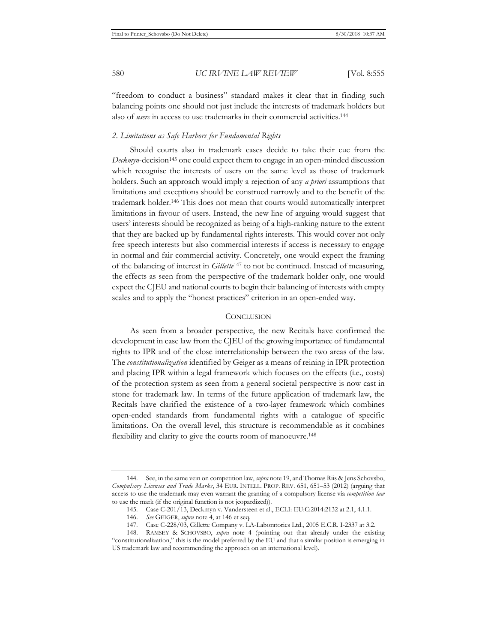"freedom to conduct a business" standard makes it clear that in finding such balancing points one should not just include the interests of trademark holders but also of *users* in access to use trademarks in their commercial activities.144

#### *2. Limitations as Safe Harbors for Fundamental Rights*

Should courts also in trademark cases decide to take their cue from the *Deckmyn*-decision<sup>145</sup> one could expect them to engage in an open-minded discussion which recognise the interests of users on the same level as those of trademark holders. Such an approach would imply a rejection of any *a priori* assumptions that limitations and exceptions should be construed narrowly and to the benefit of the trademark holder.146 This does not mean that courts would automatically interpret limitations in favour of users. Instead, the new line of arguing would suggest that users' interests should be recognized as being of a high-ranking nature to the extent that they are backed up by fundamental rights interests. This would cover not only free speech interests but also commercial interests if access is necessary to engage in normal and fair commercial activity. Concretely, one would expect the framing of the balancing of interest in *Gillette*147 to not be continued. Instead of measuring, the effects as seen from the perspective of the trademark holder only, one would expect the CJEU and national courts to begin their balancing of interests with empty scales and to apply the "honest practices" criterion in an open-ended way.

#### **CONCLUSION**

As seen from a broader perspective, the new Recitals have confirmed the development in case law from the CJEU of the growing importance of fundamental rights to IPR and of the close interrelationship between the two areas of the law. The *constitutionalization* identified by Geiger as a means of reining in IPR protection and placing IPR within a legal framework which focuses on the effects (i.e., costs) of the protection system as seen from a general societal perspective is now cast in stone for trademark law. In terms of the future application of trademark law, the Recitals have clarified the existence of a two-layer framework which combines open-ended standards from fundamental rights with a catalogue of specific limitations. On the overall level, this structure is recommendable as it combines flexibility and clarity to give the courts room of manoeuvre.<sup>148</sup>

<sup>144.</sup> See, in the same vein on competition law, *supra* note 19, and Thomas Riis & Jens Schovsbo, *Compulsory Licenses and Trade Marks*, 34 EUR. INTELL. PROP. REV. 651, 651–53 (2012) (arguing that access to use the trademark may even warrant the granting of a compulsory license via *competition law* to use the mark (if the original function is not jeopardized)).

<sup>145.</sup> Case C-201/13, Deckmyn v. Vandersteen et al., ECLI: EU:C:2014:2132 at 2.1, 4.1.1.

<sup>146.</sup> *See* GEIGER, *supra* note 4, at 146 et seq.

<sup>147.</sup> Case C-228/03, Gillette Company v. LA-Laboratories Ltd., 2005 E.C.R. I-2337 at 3.2.

<sup>148.</sup> RAMSEY & SCHOVSBO, *supra* note 4 (pointing out that already under the existing "constitutionalization," this is the model preferred by the EU and that a similar position is emerging in US trademark law and recommending the approach on an international level).